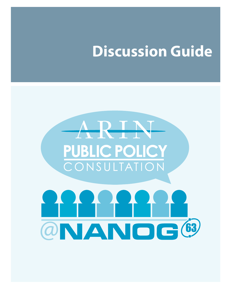# **Discussion Guide**

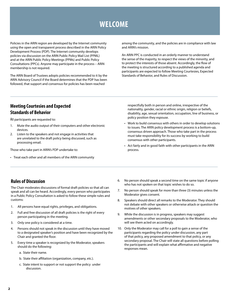# **WELCOME**

Policies in the ARIN region are developed by the Internet community using the open and transparent process described in the ARIN Policy Development Process (PDP). The Internet community develops policies via discussion on the ARIN Public Policy Mail List (PPML) and at the ARIN Public Policy Meetings (PPMs) and Public Policy Consultations (PPCs). Anyone may participate in the process – ARIN membership is not required.

The ARIN Board of Trustees adopts policies recommended to it by the ARIN Advisory Council if the Board determines that the PDP has been followed, that support and consensus for policies has been reached

among the community, and the policies are in compliance with law and ARIN's mission.

An ARIN PPC is conducted in an orderly manner to understand the sense of the majority, to respect the views of the minority, and to protect the interests of those absent. Accordingly, the flow of the meeting is structured according to a published agenda and participants are expected to follow Meeting Courtesies, Expected Standards of Behavior, and Rules of Discussion.

# **Meeting Courtesies and Expected Standards of Behavior**

All participants are requested to:

- 1. Mute the audio output of their computers and other electronic devices.
- 2. Listen to the speakers and not engage in activities that are unrelated to the draft policy being discussed, such as processing email.

Those who take part in ARIN's PDP undertake to:

• Treat each other and all members of the ARIN community

respectfully both in person and online, irrespective of the nationality, gender, racial or ethnic origin, religion or beliefs, disability, age, sexual orientation, occupation, line of business, or policy position they espouse.

- Work to build consensus with others in order to develop solutions to issues. The ARIN policy development process is a bottom-up, consensus driven approach. Those who take part in the process must take responsibility for its success by working to build consensus with other participants.
- Act fairly and in good faith with other participants in the ARIN process.

# **Rules of Discussion**

The Chair moderates discussions of formal draft policies so that all can speak and all can be heard. Accordingly, every person who participates in a Public Policy Consultation is asked to follow these simple rules and customs:

- 1. All persons have equal rights, privileges, and obligations.
- 2. Full and free discussion of all draft policies is the right of every person participating in the meeting.
- 3. Only one policy is considered at a time.
- 4. Persons should not speak in the discussion until they have moved to a designated speaker's position and have been recognized by the Chair and granted the floor.
- 5. Every time a speaker is recognized by the Moderator, speakers should do the following:
	- a. State their name.
	- b. State their affiliation (organization, company, etc.).
	- c. State intent to support or not support the policy under discussion.
- 6. No person should speak a second time on the same topic if anyone who has not spoken on that topic wishes to do so.
- 7. No person should speak for more than three (3) minutes unless the Moderator gives consent.
- 8. Speakers should direct all remarks to the Moderator. They should not debate with other speakers or otherwise attack or question the motives of other speakers.
- 9. While the discussion is in progress, speakers may suggest amendments or other secondary proposals to the Moderator, who will see them acted on accordingly.
- 10. Only the Moderator may call for a poll to gain a sense of the participants regarding the policy under discussion, any part of that policy, any proposed amendment to that policy, or any secondary proposal. The Chair will state all questions before polling the participants and will explain what affirmative and negative responses mean.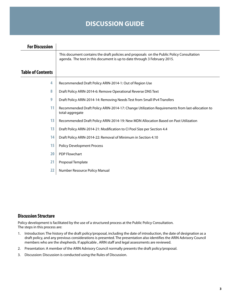# **DISCUSSION GUIDE**

| <b>For Discussion</b>    |                                                                                                                                                                       |  |
|--------------------------|-----------------------------------------------------------------------------------------------------------------------------------------------------------------------|--|
|                          | This document contains the draft policies and proposals on the Public Policy Consultation<br>agenda. The text in this document is up to date through 3 February 2015. |  |
| <b>Table of Contents</b> |                                                                                                                                                                       |  |
| 4                        | Recommended Draft Policy ARIN-2014-1: Out of Region Use                                                                                                               |  |
| 8                        | Draft Policy ARIN-2014-6: Remove Operational Reverse DNS Text                                                                                                         |  |
| 9                        | Draft Policy ARIN-2014-14: Removing Needs Test from Small IPv4 Transfers                                                                                              |  |
| 11                       | Recommended Draft Policy ARIN-2014-17: Change Utilization Requirements from last-allocation to<br>total-aggregate                                                     |  |
| 13                       | Recommended Draft Policy ARIN-2014-19: New MDN Allocation Based on Past Utilization                                                                                   |  |
| 13                       | Draft Policy ARIN-2014-21: Modification to CI Pool Size per Section 4.4                                                                                               |  |
| 14                       | Draft Policy ARIN-2014-22: Removal of Minimum in Section 4.10                                                                                                         |  |
| 15                       | <b>Policy Development Process</b>                                                                                                                                     |  |
| 20                       | <b>PDP Flowchart</b>                                                                                                                                                  |  |
| 21                       | Proposal Template                                                                                                                                                     |  |
| 22                       | Number Resource Policy Manual                                                                                                                                         |  |

# **Discussion Structure**

Policy development is facilitated by the use of a structured process at the Public Policy Consultation. The steps in this process are:

- 1. Introduction: The history of the draft policy/proposal, including the date of introduction, the date of designation as a draft policy, and any previous considerations is presented. The presentation also identifies the ARIN Advisory Council members who are the shepherds. If applicable , ARIN staff and legal assessments are reviewed.
- 2. Presentation: A member of the ARIN Advisory Council normally presents the draft policy/proposal.
- 3. Discussion: Discussion is conducted using the Rules of Discussion.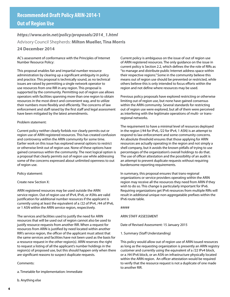# *https://www.arin.net/policy/proposals/2014\_1.html* Advisory Council Shepherds: **Milton Mueller, Tina Morris**

#### **24 December 2014**

AC's assessment of conformance with the Principles of Internet Number Resource Policy:

This proposal enables fair and impartial number resource administration by clearing up a significant ambiguity in policy and practice. This proposal is technically sound, as no technical issues are raised by permitting a single network operator to use resources from one RIR in any region. This proposal is supported by the community. Permitting out of region use allows operators with facilities spanning more than one region to obtain resources in the most direct and convenient way, and to utilize their numbers more flexibly and efficiently. The concerns of law enforcement and staff raised by the first staff and legal assessment have been mitigated by the latest amendments.

#### Problem statement:

Current policy neither clearly forbids nor clearly permits out or region use of ARIN registered resources. This has created confusion and controversy within the ARIN community for some time. Earlier work on this issue has explored several options to restrict or otherwise limit out of region use. None of these options have gained consensus within the community. The next logical option is a proposal that clearly permits out of region use while addressing some of the concerns expressed about unlimited openness to out of region use.

#### Policy statement:

#### Create new Section X:

ARIN registered resources may be used outside the ARIN service region. Out of region use of IPv4, IPv6, or ASNs are valid justification for additional number resources if the applicant is currently using at least the equivalent of a /22 of IPv4, /44 of IPv6, or 1 ASN within the ARIN service region, respectively.

The services and facilities used to justify the need for ARIN resources that will be used out of region cannot also be used to justify resource requests from another RIR. When a request for resources from ARIN is justified by need located within another RIR's service region, the officer of the applicant must attest that the same services and facilities have not been used as the basis for a resource request in the other region(s). ARIN reserves the right to request a listing of all the applicant's number holdings in the region(s) of proposed use, but this should happen only when there are significant reasons to suspect duplicate requests.

#### Comments:

a. Timetable for implementation: Immediate

b. Anything else

Current policy is ambiguous on the issue of out of region use of ARIN registered resources. The only guidance on the issue in current policy is Section 2.2, which defines the the role of RIRs as "to manage and distribute public Internet address space within their respective regions." Some in the community believe this means out of region use should be prevented or restricted, while others believe this is only intended to focus efforts within the region and not define where resources may be used.

Previous policy proposals have explored restricting or otherwise limiting out of region use, but none have gained consensus within the ARIN community. Several standards for restricting out of region use were explored, but all of them were perceived as interfering with the legitimate operations of multi- or transregional networks.

The requirement to have a minimal level of resources deployed in the region (/44 for IPv6, /22 for IPv4, 1 ASN) is an attempt to respond to law enforcement and some community concerns. An absolute threshold ensures that those applying for ARIN resources are actually operating in the region and not simply a shell company, but it avoids the known pitfalls of trying to use percentages of the organization's overall holdings to do that. The use of officer attestation and the possibility of an audit is an attempt to prevent duplicate requests without requiring burdensome reporting requirements.

In summary, this proposal ensures that trans-regional organizations or service providers operating within the ARIN region may receive all the resources they need from ARIN if they wish to do so. This change is particularly important for IPv6. Requiring organizations get IPv6 resources from multiple RIRs will result in additional unique non-aggregatable prefixes within the IPv6 route table.

#### #####

#### ARIN STAFF ASSESSMENT

Date of Revised Assessment: 15 January 2015

1. Summary (Staff Understanding)

This policy would allow out of region use of ARIN issued resources as long as the requesting organization is presently an ARIN registry customer and currently using the equivalent of a /22 IPv4 block, or a /44 IPv6 block, or an ASN on infrastructure physically located within the ARIN region. An officer attestation would be required to verify that the resource request is not a duplicate of one made to another RIR.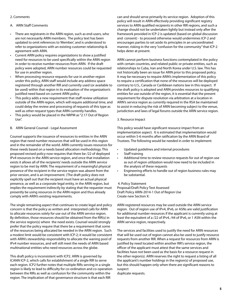#### 2. Comments

#### A. ARIN Staff Comments

- There are registrants in the ARIN region, such as end-users, who are not necessarily ARIN members. The policy text has been updated to omit references to 'Member', and is understood to refer to organizations with an existing customer relationship & agreement with ARIN.
- Current ARIN policy requires organizations to show a justified need for resources to be used specifically within the ARIN region in order to receive number resources from ARIN. If the draft policy were adopted, ARIN number resources could be requested for use in another region.
- When processing resource requests for use in another region under this policy, ARIN staff would include any address space registered through another RIR and currently used (or available to be used) within that region in its evaluation of the organization's justified need based on current ARIN policy.
- This policy adds a new requirement that staff review utilization outside of the ARIN region, which will require additional time, and could delay the review and processing of requests of this type as well as other request types that ARIN currently handles.
- This policy would be placed in the NRPM as "2.17 Out of Region Use".
- B. ARIN General Counsel Legal Assessment

Counsel supports the issuance of resources to entities in the ARIN region that need number resources that will be used in this region and in the remainder of the world. ARIN currently issues resources for these needs based on a needs based allocation methodology. This proposed revised policy now requires that there be /22 of deployed IPv4 resources in the ARIN service region, and once that installation exists it allows all of the recipients' needs outside the ARIN service region to be met by ARIN. The requirement of a meaningful physical presence of the recipient in the service region was absent from the prior version, and is an improvement. (The draft policy does not explicitly spell out that the recipient must have an actual physical presence, as well as a corporate legal entity, in the ARIN region, but implies the requirement indirectly by stating that the requester must presently be using resources in the ARIN region and thus already comply with ARIN's existing requirements.

The single remaining aspect that continues to create legal and policy concern is that the policy as written and interpreted calls for ARIN to allocate resources solely for use out of the ARIN service region. By definition, those resources should be obtained from the RIR(s) in the service region(s) where the need exists. Counsel would strongly prefer that the policy require that there be a requirement that some of the resources being allocated be needed in the ARIN region. Such a modest limit would be consistent with ICP-2; it would be consistent with ARIN's stewardship responsibility to allocate the waning pool of IPv4 number resources, and will still meet the needs of ARIN based multinational entities who need resources across the globe.

This draft policy is inconsistent with ICP2. ARIN is governed by ICANN ICP-2, which calls for establishment of a single RIR to serve each region. ICP2 further notes that multiple RIRs serving in a single region is likely to lead to difficulty for co-ordination and co-operation between the RIRs as well as confusion for the community within the region. The implication of that governance structure is that each RIR

can and should serve primarily its service region. Adoption of this policy will result in ARIN effectively providing significant registry services to ARIN qualified recipients in other RIR regions, and such a change should not be undertaken lightly but instead only after the framework provided in ICP-2 is updated (based on global discussion and consent) - to proceed otherwise would undermines ICP-2 and encourages parties to set aside its principles in an uncoordinated manner, risking in the very "confusion for the community" that ICP-2 helps deter at present.

ARIN cannot perform business functions contemplated in the policy with certain countries, and related public or private entities, such as relationships to Cuba, Iran and North Korea under U.S. law. This has not historically been an issue for ARIN prior to this proposed policy. It may be necessary to require ARIN's implementation of this policy to require a certification that none of the resources will be deployed contrary to U.S., Canada or Caribbean nations law in this respect. If the draft policy is adopted and ARIN provides resources to qualifying entities for use outside of the region, it is essential that the present requirement for dispute resolution via arbitration at a location in ARIN's service region as currently required in the RSA be maintained to assist in reducing the risk of ARIN becoming subject to the venue, jurisdiction and laws of legal forums outside the ARIN service region.

3. Resource Impact

This policy would have significant resource impact from an implementation aspect. It is estimated that implementation would occur within 5-6 months after ratification by the ARIN Board of Trustees. The following would be needed in order to implement:

- Updated guidelines and internal procedures
- Staff training
- Additional time to review resource requests for out of region use as out of region utilization would now need to be included in the analysis of these requests
- Engineering efforts to handle out of region business rules may be substantial.

 4. Policy Statement Proposal/Draft Policy Text Assessed Draft Policy ARIN-2014-1 Out of Region Use Create new Section X:

ARIN registered resources may be used outside the ARIN service region. Out of region use of IPv4, IPv6, or ASNs are valid justification for additional number resources if the applicant is currently using at least the equivalent of a /22 of IPv4, /44 of IPv6, or 1 ASN within the ARIN service region, respectively.

The services and facilities used to justify the need for ARIN resources that will be used out of region cannot also be used to justify resource requests from another RIR. When a request for resources from ARIN is justified by need located within another RIR's service region, the officer of the applicant must attest that the same services and facilities have not been used as the basis for a resource request in the other region(s). ARIN reserves the right to request a listing of all the applicant's number holdings in the region(s) of proposed use, but this should happen only when there are significant reasons to suspect

duplicate requests.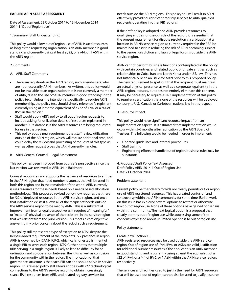#### **EARLIER ARIN STAFF ASSESSMENT**

Date of Assessment: 22 October 2014 to 13 November 2014 2014-1 "Out of Region Use"

#### 1. Summary (Staff Understanding)

This policy would allow out of region use of ARIN issued resources as long as the requesting organization is an ARIN member in good standing and currently using at least a /22, or a /44, or 1 ASN within the ARIN region.

#### 2. Comments

#### A. ARIN Staff Comments

- There are registrants in the ARIN region, such as end-users, who are not necessarily ARIN members. As written, this policy would not be available to an organization that is not currently a member of ARIN, due to the use of "ARIN member in good standing" in the policy text. Unless the intention is specifically to require ARIN membership, the policy text should simply reference "a registrant currently using at least the equivalent of a /22 of IPv4, or a /44 of IPv6 in the region."
- Staff would apply ARIN policy to all out of region requests to include asking for utilization details of resources registered in another RIR's database if the ARIN resources are being requested for use in that region.
- This policy adds a new requirement that staff review utilization outside of the ARIN region, which will require additional time, and could delay the review and processing of requests of this type as well as other request types that ARIN currently handles.
- B. ARIN General Counsel Legal Assessment

This policy has been improved from counsel's perspective since the last version was reviewed at ARIN 34 in Baltimore.

Counsel recognizes and supports the issuance of resources to entities in the ARIN region that need number resources that will be used in both this region and in the remainder of the world. ARIN currently issues resources for these needs based on a needs based allocation methodology. This proposed revised policy now requires that there be /22 of deployed resources in the ARIN service region, and once that installation exists it allows all of the recipients' needs outside the ARIN service region to be met by ARIN. This is a substantial improvement from a legal perspective as it requires a "meaningful" or "material" physical presence of the recipient in the service region that was absent from the prior version. This meets a core objective answering my prior concern about the lack of such a requirement.

This policy still represents a type of exception to ICP2, despite the helpful added requirement of the recipients /22 presence in region. ARIN is governed by ICANN ICP-2, which calls for establishment of a single RIR to serve each region. ICP2 further notes that multiple RIRs serving in a single region is likely to lead to difficulty for coordination and co-operation between the RIRs as well as confusion for the community within the region. The implication of that governance structure is that each RIR can and should serve its service region. This revised policy still allows entities with /22 technological connections to the ARIN's service region to obtain increasingly scarce IPv4 resources from ARIN and related registry services for

needs outside the ARIN regions. This policy still will result in ARIN effectively providing significant registry services to ARIN qualified recipients operating in other RIR regions.

If the draft policy is adopted and ARIN provides resources to qualifying entities for use outside of the region, it is essential that the present requirement for dispute resolution via arbitration at a location in ARIN's service region as currently required in the RSA be maintained to assist in reducing the risk of ARIN becoming subject to the venue, jurisdiction and laws of legal forums outside the ARIN service region.

ARIN cannot perform business functions contemplated in the policy with certain countries, and related public or private entities, such as relationships to Cuba, Iran and North Korea under U.S. law. This has not historically been an issue for ARIN prior to this proposed policy. The new requirement to spell out that the recipient must maintain an actual physical presence, as well as a corporate legal entity in the ARIN region, reduces, but does not entirely eliminate this concern. It may be necessary to require ARIN's implementation of this policy to require a certification that none of the resources will be deployed contrary to U.S., Canada or Caribbean nations law in this respect.

#### 3. Resource Impact

This policy would have significant resource impact from an implementation aspect. It is estimated that implementation would occur within 5-6 months after ratification by the ARIN Board of Trustees. The following would be needed in order to implement:

- Updated guidelines and internal procedures
- Staff training
- Engineering efforts to handle out of region business rules may be substantial.

4. Proposal/Draft Policy Text Assessed Draft Policy ARIN-2014-1 Out of Region Use Date: 21 October 2014

#### Problem statement:

Current policy neither clearly forbids nor clearly permits out or region use of ARIN registered resources. This has created confusion and controversy within the ARIN community for some time. Earlier work on this issue has explored several options to restrict or otherwise limit out of region use. None of these options have gained consensus within the community. The next logical option is a proposal that clearly permits out of region use while addressing some of the concerns expressed about unlimited openness to out of region use.

Policy statement:

#### Create new Section X:

ARIN registered resources may be used outside the ARIN service region. Out of region use of IPv4, IPv6, or ASNs are valid justification for additional number resources if the applicant is an ARIN member in good standing and is currently using at least the equivalent of a /22 of IPv4, or a /44 of IPv6, or 1 ASN within the ARIN service region, respectively.

The services and facilities used to justify the need for ARIN resources that will be used out of region cannot also be used to justify resource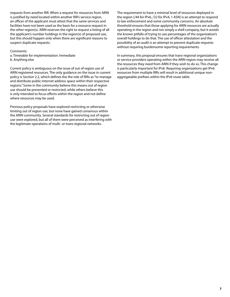requests from another RIR. When a request for resources from ARIN is justified by need located within another RIR's service region, an officer of the applicant must attest that the same services and facilities have not been used as the basis for a resource request in the other region(s). ARIN reserves the right to request a listing of all the applicant's number holdings in the region(s) of proposed use, but this should happen only when there are significant reasons to suspect duplicate requests.

Comments:

a. Timetable for implementation: Immediate b. Anything else

Current policy is ambiguous on the issue of out of region use of ARIN registered resources. The only guidance on the issue in current policy is Section 2.2, which defines the the role of RIRs as "to manage and distribute public Internet address space within their respective regions." Some in the community believe this means out of region use should be prevented or restricted, while others believe this is only intended to focus efforts within the region and not define where resources may be used.

Previous policy proposals have explored restricting or otherwise limiting out of region use, but none have gained consensus within the ARIN community. Several standards for restricting out of region use were explored, but all of them were perceived as interfering with the legitimate operations of multi- or trans-regional networks.

The requirement to have a minimal level of resources deployed in the region (/44 for IPv6, /22 for IPv4, 1 ASN) is an attempt to respond to law enforcement and some community concerns. An absolute threshold ensures that those applying for ARIN resources are actually operating in the region and not simply a shell company, but it avoids the known pitfalls of trying to use percentages of the organization's overall holdings to do that. The use of officer attestation and the possibility of an audit is an attempt to prevent duplicate requests without requiring burdensome reporting requirements.

In summary, this proposal ensures that trans-regional organizations or service providers operating within the ARIN region may receive all the resources they need from ARIN if they wish to do so. This change is particularly important for IPv6. Requiring organizations get IPv6 resources from multiple RIRs will result in additional unique nonaggregatable prefixes within the IPv6 route table.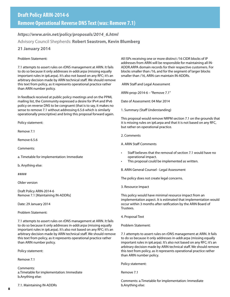## *https://www.arin.net/policy/proposals/2014\_6.html*

# Advisory Council Shepherds: **Robert Seastrom, Kevin Blumberg**

# **21 January 2014**

## Problem Statement:

7.1 attempts to assert rules on rDNS management at ARIN. It fails to do so because it only addresses in-addr.arpa (missing equally important rules in ip6.arpa). It's also not based on any RFC; it's an arbitrary decision made by ARIN technical staff. We should remove this text from policy, as it represents operational practice rather than ARIN number policy.

In feedback received at public policy meetings and on the PPML mailing list, the Community expressed a desire for IPv4 and IPv6 policy on reverse DNS to be congruent (that is to say, it makes no sense to remove 7.1 without addressing 6.5.6 which is similarly operationally prescriptive) and bring this proposal forward again.

Policy statement:

Remove 7.1

Remove 6.5.6

Comments:

a. Timetable for implementation: Immediate

b. Anything else:

#####

Older version

Draft Policy ARIN-2014-6 Remove 7.1 [Maintaining IN-ADDRs]

Date: 29 January 2014

Problem Statement:

7.1 attempts to assert rules on rDNS management at ARIN. It fails to do so because it only addresses in-addr.arpa (missing equally important rules in ip6.arpa). It's also not based on any RFC; it's an arbitrary decision made by ARIN technical staff. We should remove this text from policy, as it represents operational practice rather than ARIN number policy.

Policy statement:

Remove 7.1

Comments: a.Timetable for implementation: Immediate b.Anything else:

7.1. Maintaining IN-ADDRs

All ISPs receiving one or more distinct /16 CIDR blocks of IP addresses from ARIN will be responsible for maintaining all IN-ADDR.ARPA domain records for their respective customers. For blocks smaller than /16, and for the segment of larger blocks smaller than /16, ARIN can maintain IN-ADDRs.

ARIN Staff and Legal Assessment

ARIN-prop-2014-6 – "Remove 7.1"

Date of Assessment: 04 Mar 2014

1. Summary (Staff Understanding)

This proposal would remove NRPM section 7.1 on the grounds that it is missing rules on ip6.arpa and that it is not based on any RFC, but rather on operational practice.

2. Comments

A. ARIN Staff Comments

- Staff believes that the removal of section 7.1 would have no operational impact.
- This proposal could be implemented as written.

B. ARIN General Counsel - Legal Assessment

The policy does not create legal concerns.

3. Resource Impact

This policy would have minimal resource impact from an implementation aspect. It is estimated that implementation would occur within 3 months after ratification by the ARIN Board of Trustees.

4. Proposal Text

Problem Statement:

7.1 attempts to assert rules on rDNS management at ARIN. It fails to do so because it only addresses in-addr.arpa (missing equally important rules in ip6.arpa). It's also not based on any RFC; it's an arbitrary decision made by ARIN technical staff. We should remove this text from policy, as it represents operational practice rather than ARIN number policy.

Policy statement:

Remove 7.1

Comments: a.Timetable for implementation: Immediate b.Anything else: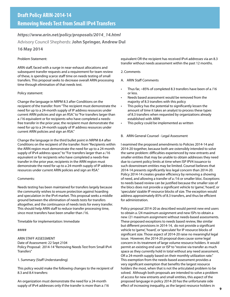# **Removing Needs Test from Small IPv4 Transfers**

# *https://www.arin.net/policy/proposals/2014\_14.html*

Advisory Council Shepherds: **John Springer, Andrew Dul**

## **16 May 2014**

#### Problem Statement:

ARIN staff, faced with a surge in near-exhaust allocations and subsequent transfer requests and a requirement for team review of these, is spending scarce staff time on needs testing of small transfers. This proposal seeks to decrease overall ARIN processing time through elimination of that needs test.

#### Policy statement:

Change the language in NRPM 8.3 after Conditions on the recipient of the transfer: from "The recipient must demonstrate the need for up to a 24-month supply of IP address resources under current ARIN policies and sign an RSA." to "For transfers larger than a /16 equivalent or for recipients who have completed a needsfree transfer in the prior year, the recipient must demonstrate the need for up to a 24-month supply of IP address resources under current ARIN policies and sign an RSA."

Change the language in the third bullet point in NRPM 8.4 after Conditions on the recipient of the transfer: from "Recipients within the ARIN region must demonstrate the need for up to a 24-month supply of IPv4 address space." to "For transfers larger than a /16 equivalent or for recipients who have completed a needs-free transfer in the prior year, recipients in the ARIN region must demonstrate the need for up to a 24-month supply of IP address resources under current ARIN policies and sign an RSA."

#### Comments:

Needs testing has been maintained for transfers largely because the community wishes to ensure protection against hoarding and speculation in the IPv4 market. This proposal seeks a middle ground between the elimination of needs tests for transfers altogether, and the continuance of needs tests for every transfer. This should help ARIN staff to reduce transfer processing time, since most transfers have been smaller than /16.

Timetable for implementation: Immediate

#### #####

#### ARIN STAFF ASSESSMENT

Date of Assessment: 22 Sept 2104 Policy Proposal: 2014-14 "Removing Needs Test from Small IPv4 Transfers"

#### 1. Summary (Staff Understanding)

This policy would make the following changes to the recipient of 8.3 and 8.4 transfers:

An organization must demonstrate the need for a 24-month supply of IPv4 addresses only if the transfer is more than a /16 equivalent OR the recipient has received IPv4 addresses via an 8.3 transfer without needs assessment within the past 12 months.

#### 2. Comments

- A. ARIN Staff Comments
- Thus far, ~85% of completed 8.3 transfers have been of a /16 or less.
- Needs based assessment would be removed from the majority of 8.3 transfers with this policy
- This policy has the potential to significantly lessen the amount of time it takes an analyst to process these types of 8.3 transfers when requested by organizations already established with ARIN
- This policy could be implemented as written

#### B. ARIN General Counsel - Legal Assessment

I examined the proposed amendments to Policies 2014-14 and 2014-20 together, because both are ostensibly intended to solve the same problem: difficulties experienced by new entrants and smaller entities that may be unable to obtain addresses they need due to current policy limits at time when ISP IPV4 issuance to such downstream entities may be limited. Counsel believes that 2014-14 presents significantly less legal concern than 2014-20. Policy 2014-14 creates greater efficiency by removing a showing of need, and allowing a transfer of a /16 or smaller bloc. Exceptions to needs based review can be justified because the smaller size of the blocs does not provide a significant vehicle to 'game', 'hoard', or 'speculate' sizable IP resource blocks of size. The exception would address approximately 85% of 8.3 transfers, and thus be efficient for administration.

Policy proposal 2014-20 as described would permit new end users to obtain a /24 maximum assignment and new ISPs to obtain a new /21 maximum assignment without needs-based assessments. These proposed exceptions to needs based review, like similar but different provisions in 2014-14, do not provide a significant vehicle to 'game', 'hoard', or 'speculate' for IP resource blocks of significant size. Those aspect of 2014-20 raise no meaningful legal issue. However, the 2014-20 proposal does cause some legal concern in its treatment of large volume resource holders. It would permit an existing end user or ISP to "receive via transfer as much space as they currently hold in total without any need assessment, OR a 24-month supply based on their monthly utilization rate." This exemption from the needs-based assessment provides a very significant exemption that benefits the largest resource holders the most, when that is not the articulated problem to be solved. Although both proposals are intended to solve a problem of access for new entrants and small entities, this aspect of the proposed language in policy 2014-20 has the unfortunate side effect of increasing inequality, as the largest resource holders in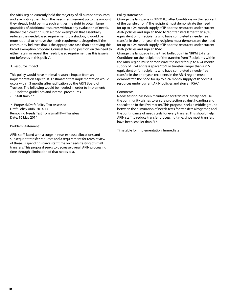the ARIN region currently hold the majority of all number resources, and exempting them from the needs requirement up to the amount they already hold permits such entities the right to obtain large quantities of additional resources without any evaluation of needs. (Rather than creating such a broad exemption that essentially reduces the needs-based requirement to a shadow, it would be more rational to remove the needs requirement altogether, if the community believes that is the appropriate case than approving this broad exemption proposal. Counsel takes no position on the need to either retain or repeal the needs based requirement, as this issue is not before us in this policy).

#### 3. Resource Impact

This policy would have minimal resource impact from an implementation aspect. It is estimated that implementation would occur within 3 months after ratification by the ARIN Board of Trustees. The following would be needed in order to implement:

- · Updated guidelines and internal procedures
- Staff training

 4. Proposal/Draft Policy Text Assessed Draft Policy ARIN-2014-14 Removing Needs Test from Small IPv4 Transfers Date: 16 May 2014

#### Problem Statement:

ARIN staff, faced with a surge in near-exhaust allocations and subsequent transfer requests and a requirement for team review of these, is spending scarce staff time on needs testing of small transfers. This proposal seeks to decrease overall ARIN processing time through elimination of that needs test.

#### Policy statement:

Change the language in NRPM 8.3 after Conditions on the recipient of the transfer: from "The recipient must demonstrate the need for up to a 24-month supply of IP address resources under current ARIN policies and sign an RSA." to "For transfers larger than a /16 equivalent or for recipients who have completed a needs-free transfer in the prior year, the recipient must demonstrate the need for up to a 24-month supply of IP address resources under current ARIN policies and sign an RSA."

Change the language in the third bullet point in NRPM 8.4 after Conditions on the recipient of the transfer: from "Recipients within the ARIN region must demonstrate the need for up to a 24-month supply of IPv4 address space." to "For transfers larger than a /16 equivalent or for recipients who have completed a needs-free transfer in the prior year, recipients in the ARIN region must demonstrate the need for up to a 24-month supply of IP address resources under current ARIN policies and sign an RSA."

#### Comments:

Needs testing has been maintained for transfers largely because the community wishes to ensure protection against hoarding and speculation in the IPv4 market. This proposal seeks a middle ground between the elimination of needs tests for transfers altogether, and the continuance of needs tests for every transfer. This should help ARIN staff to reduce transfer processing time, since most transfers have been smaller than /16.

Timetable for implementation: Immediate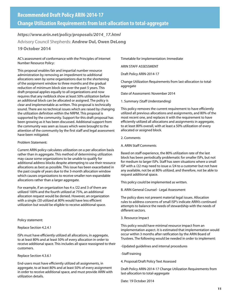*https://www.arin.net/policy/proposals/2014\_17.html* Advisory Council Shepherds: **Andrew Dul, Owen DeLong**

## **19 October 2014**

AC's assessment of conformance with the Principles of Internet Number Resource Policy:

This proposal enables fair and impartial number resource administration by removing an impediment to additional allocations seen by some organizations due to the shortening of the assignment window to three months and the gradual reduction of minimum block size over the past 5 years. This draft proposal applies equally to all organizations and now requires that any netblock show at least 50% utilization before an additional block can be allocated or assigned. The policy is clear and implementable as written. This proposal is technically sound. There are no technical issues which are raised by changing the utilization definition within the NRPM. This proposal is supported by the community. Support for this draft proposal has been growing as it has been discussed. Additional support from the community was seen as issues which were brought to the attention of the community by the first staff and legal assessment have been mitigated.

#### Problem Statement:

Current ARIN policy calculates utilization on a per allocation basis rather than in aggregate. This method of determining utilization may cause some organizations to be unable to qualify for additional address blocks despite attempting to use their resource allocations as best as possible. This issue has been exacerbated in the past couple of years due to the 3-month allocation window which causes organizations to receive smaller non-expandable allocations rather than a larger aggregate.

For example, if an organization has 4 x /22 and 3 of them are utilized 100% and the fourth utilized at 75%, an additional allocation request would be denied. However, an organization with a single /20 utilized at 80% would have less efficient utilization but would be eligible to receive additional space.

Policy statement:

Replace Section 4.2.4.1

ISPs must have efficiently utilized all allocations, in aggregate, to at least 80% and at least 50% of every allocation in order to receive additional space. This includes all space reassigned to their customers.

Replace Section 4.3.6.1

End-users must have efficiently utilized all assignments, in aggregate, to at least 80% and at least 50% of every assignment in order to receive additional space, and must provide ARIN with utilization details.

Timetable for implementation: Immediate

ARIN STAFF ASSESSMENT

Draft Policy ARIN-2014-17

Change Utilization Requirements from last-allocation to totalaggregate

Date of Assessment: November 2014

1. Summary (Staff Understanding)

This policy removes the current requirement to have efficiently utilized all previous allocations and assignments, and 80% of the most recent one, and replaces it with the requirement to have efficiently utilized all allocations and assignments in aggregate, to at least 80% overall, with at least a 50% utilization of every allocated or assigned block.

2. Comments

A. ARIN Staff Comments

Based on staff experience, the 80% utilization rate of the last block has been periodically problematic for smaller ISPs, but not for medium to larger ISPs. Staff has seen situations where a small ISP with a /22 may need to issue a /24 to a customer but not have any available, not be at 80% utilized, and therefore, not be able to request additional space.

This policy could be implemented as written.

B. ARIN General Counsel - Legal Assessment

The policy does not present material legal issues. Allocation rules to address concerns of small ISP's indicate ARIN's continued attempts to balance the needs of stewardship with the needs of different sectors.

3. Resource Impact

This policy would have minimal resource impact from an implementation aspect. It is estimated that implementation would occur within 3 months after ratification by the ARIN Board of Trustees. The following would be needed in order to implement:

-Updated guidelines and internal procedures

-Staff training

4. Proposal/Draft Policy Text Assessed

Draft Policy ARIN-2014-17 Change Utilization Requirements from last-allocation to total-aggregate

Date: 19 October 2014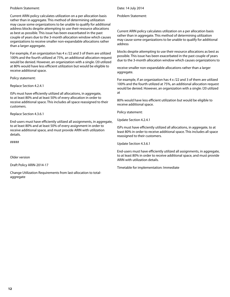#### Problem Statement:

Current ARIN policy calculates utilization on a per allocation basis rather than in aggregate. This method of determining utilization may cause some organizations to be unable to qualify for additional address blocks despite attempting to use their resource allocations as best as possible. This issue has been exacerbated in the past couple of years due to the 3-month allocation window which causes organizations to receive smaller non-expandable allocations rather than a larger aggregate.

For example, if an organization has 4 x /22 and 3 of them are utilized 100% and the fourth utilized at 75%, an additional allocation request would be denied. However, an organization with a single /20 utilized at 80% would have less efficient utilization but would be eligible to receive additional space.

Policy statement:

Replace Section 4.2.4.1

ISPs must have efficiently utilized all allocations, in aggregate, to at least 80% and at least 50% of every allocation in order to receive additional space. This includes all space reassigned to their customers.

Replace Section 4.3.6.1

End-users must have efficiently utilized all assignments, in aggregate, to at least 80% and at least 50% of every assignment in order to receive additional space, and must provide ARIN with utilization details.

#####

Older version

Draft Policy ARIN-2014-17

Change Utilization Requirements from last-allocation to totalaggregate

Date: 14 July 2014

Problem Statement:

Current ARIN policy calculates utilization on a per allocation basis rather than in aggregate. This method of determining utilization may cause some organizations to be unable to qualify for additional address

blocks despite attempting to use their resource allocations as best as possible. This issue has been exacerbated in the past couple of years due to the 3-month allocation window which causes organizations to

receive smaller non-expandable allocations rather than a larger aggregate.

For example, if an organization has 4 x /22 and 3 of them are utilized 100% and the fourth utilized at 75%, an additional allocation request would be denied. However, an organization with a single /20 utilized at

80% would have less efficient utilization but would be eligible to receive additional space.

Policy statement:

Update Section 4.2.4.1

ISPs must have efficiently utilized all allocations, in aggregate, to at least 80% in order to receive additional space. This includes all space reassigned to their customers.

Update Section 4.3.6.1

End-users must have efficiently utilized all assignments, in aggregate, to at least 80% in order to receive additional space, and must provide ARIN with utilization details.

Timetable for implementation: Immediate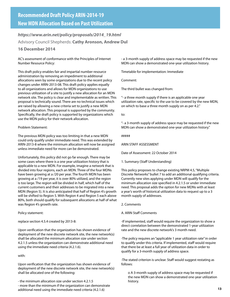*https://www.arin.net/policy/proposals/2014\_19.html* Advisory Council Shepherds: **Cathy Aronson, Andrew Dul**

## **16 December 2014**

AC's assessment of conformance with the Principles of Internet Number Resource Policy:

This draft policy enables fair and impartial number resource administration by removing an impediment to additional allocations seen by some organizations due to the recent policy changes under ARIN-2013-08. This draft policy applies equally to all organizations and allows for MDN organizations to use previous utilization of a site to justify a new allocation for an MDN network site. The policy is clear and implementable as written. This proposal is technically sound. There are no technical issues which are raised by allowing a new criteria set to justify a new MDN network allocation. This proposal is supported by the community. Specifically, the draft policy is supported by organizations which use the MDN policy for their network allocation.

Problem Statement:

The previous MDN policy was too limiting in that a new MDN could only qualify under immediate need. This was extended by ARIN-2013-8 where the minimum allocation will now be assigned unless immediate need for more can be demonstrated.

Unfortunately, this policy did not go far enough. There may be some cases where there is a one year utilization history that is applicable to a new MDN. For example, imagine a network that is divided into four regions, each an MDN. Three of the four MDNs have been growing at a /20 per year. The fourth MDN has been growing at a /19 per year, it is over 80% utilized, and the region is too large. The region will be divided in half, which half of the current customers and their addresses to be migrated into a new MDN (Region 5). It is also anticipated that half of Region 4's growth will be shifted to Region 5. With Region 4 and Region 5 each above 80%, both should qualify for subsequent allocations at half of what was Region 4's growth rate.

Policy statement:

replace section 4.5.4 created by 2013-8:

Upon verification that the organization has shown evidence of deployment of the new discrete network site, the new network(s) shall be allocated the minimum allocation size under section 4.2.1.5 unless the organization can demonstrate additional need using the immediate need criteria (4.2.1.6).

with:

Upon verification that the organization has shown evidence of deployment of the new discrete network site, the new network(s) shall be allocated one of the following:

- the minimum allocation size under section 4.2.1.5 - more than the minimum if the organization can demonstrate additional need using the immediate need criteria (4.2.1.6)

- a 3-month supply of address space may be requested if the new MDN can show a demonstrated one-year utilization history.

Timetable for implementation: Immediate

Comment:

The third bullet was changed from:

"- a three month supply if there is an applicable one year utilization rate, specific to the use to be covered by the new MDN, on which to base a three month supply on as per 4.2."

to:

"- a 3-month supply of address space may be requested if the new MDN can show a demonstrated one-year utilization history."

#####

ARIN STAFF ASSESSMENT

Date of Assessment: 22 October 2014

1. Summary (Staff Understanding)

This policy proposes to change existing NRPM 4.5, "Multiple Discrete Networks" bullet 7 to add an additional qualifying criteria. Currently new sites applying under MDN will qualify for the minimum allocation size specified in 4.2.1.5 or under immediate need. This proposal adds the option for new MDNs with at least a year's worth of historical utilization data to request up to a 3 month supply of addresses.

2. Comments

A. ARIN Staff Comments

-If implemented, staff would require the organization to show a direct correlation between the demonstrated 1-year utilization rate and the new discrete network's 3 month need.

-The policy requires an "applicable 1 year utilization rate" in order to qualify under this criteria. If implemented, staff would require that there be at least a full year of utilization data in order to qualify for a 3-month supply of address space.

-The stated criterion is unclear. Staff would suggest restating as follows:

o A 3-month supply of address space may be requested if the new MDN can show a demonstrated one-year utilization history.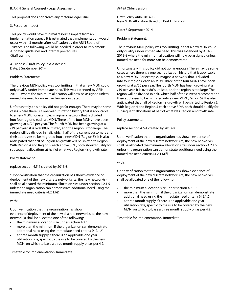#### B. ARIN General Counsel - Legal Assessment

This proposal does not create any material legal issue.

#### 3. Resource Impact

This policy would have minimal resource impact from an implementation aspect. It is estimated that implementation would occur within 3 months after ratification by the ARIN Board of Trustees. The following would be needed in order to implement: -Updated guidelines and internal procedures -Staff training

4. Proposal/Draft Policy Text Assessed Date: 3 September 2014

#### Problem Statement:

The previous MDN policy was too limiting in that a new MDN could only qualify under immediate need. This was extended by ARIN-2013-8 where the minimum allocation will now be assigned unless immediate need for more can be demonstrated.

Unfortunately, this policy did not go far enough. There may be some cases where there is a one year utilization history that is applicable to a new MDN. For example, imagine a network that is divided into four regions, each an MDN. Three of the four MDNs have been growing at a /20 per year. The fourth MDN has been growing at a /19 per year, it is over 80% utilized, and the region is too large. The region will be divided in half, which half of the current customers and their addresses to be migrated into a new MDN (Region 5). It is also anticipated that half of Region 4's growth will be shifted to Region 5. With Region 4 and Region 5 each above 80%, both should qualify for subsequent allocations at half of what was Region 4's growth rate.

Policy statement:

replace section 4.5.4 created by 2013-8:

"Upon verification that the organization has shown evidence of deployment of the new discrete network site, the new network(s) shall be allocated the minimum allocation size under section 4.2.1.5 unless the organization can demonstrate additional need using the immediate need criteria (4.2.1.6)."

with:

Upon verification that the organization has shown evidence of deployment of the new discrete network site, the new network(s) shall be allocated one of the following:

- the minimum allocation size under section 4.2.1.5
- more than the minimum if the organization can demonstrate additional need using the immediate need criteria (4.2.1.6)
- a three month supply if there is an applicable one year utilization rate, specific to the use to be covered by the new MDN, on which to base a three month supply on as per 4.2.

Timetable for implementation: Immediate

#### ##### Older version

Draft Policy ARIN-2014-19 New MDN Allocation Based on Past Utilization

Date: 3 September 2014

Problem Statement:

The previous MDN policy was too limiting in that a new MDN could only qualify under immediate need. This was extended by ARIN-2013-8 where the minimum allocation will now be assigned unless immediate need for more can be demonstrated.

Unfortunately, this policy did not go far enough. There may be some cases where there is a one year utilization history that is applicable to a new MDN. For example, imagine a network that is divided into four regions, each an MDN. Three of the four MDNs have been growing at a /20 per year. The fourth MDN has been growing at a /19 per year, it is over 80% utilized, and the region is too large. The region will be divided in half, which half of the current customers and their addresses to be migrated into a new MDN (Region 5). It is also anticipated that half of Region 4's growth will be shifted to Region 5. With Region 4 and Region 5 each above 80%, both should qualify for subsequent allocations at half of what was Region 4's growth rate.

Policy statement:

replace section 4.5.4 created by 2013-8:

Upon verification that the organization has shown evidence of deployment of the new discrete network site, the new network(s) shall be allocated the minimum allocation size under section 4.2.1.5 unless the organization can demonstrate additional need using the immediate need criteria (4.2.1.6).

#### with:

Upon verification that the organization has shown evidence of deployment of the new discrete network site, the new network(s) shall be allocated one of the following:

- the minimum allocation size under section 4.2.1.5
- more than the minimum if the organization can demonstrate additional need using the immediate need criteria (4.2.1.6)
- a three month supply if there is an applicable one year utilization rate, specific to the use to be covered by the new MDN, on which to base a three month supply on as per 4.2.

Timetable for implementation: Immediate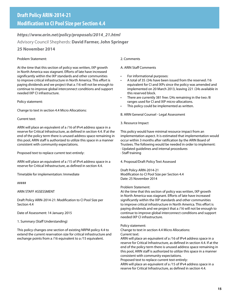# *https://www.arin.net/policy/proposals/2014\_21.html* Advisory Council Shepherds: **David Farmer, John Springer**

# **25 November 2014**

## Problem Statement:

At the time that this section of policy was written, IXP growth in North America was stagnant. Efforts of late have increased significantly within the IXP standards and other communities to improve critical infrastructure in North America. This effort is paying dividends and we project that a /16 will not be enough to continue to improve global interconnect conditions and support needed IXP CI infrastructure.

#### Policy statement:

Change to text in section 4.4 Micro Allocations:

#### Current text:

ARIN will place an equivalent of a /16 of IPv4 address space in a reserve for Critical Infrastructure, as defined in section 4.4. If at the end of the policy term there is unused address space remaining in this pool, ARIN staff is authorized to utilize this space in a manner consistent with community expectations.

Proposed text to replace current text entirely:

ARIN will place an equivalent of a /15 of IPv4 address space in a reserve for Critical Infrastructure, as defined in section 4.4.

Timetable for implementation: Immediate

#####

ARIN STAFF ASSESSMENT

Draft Policy ARIN-2014-21: Modification to CI Pool Size per Section 4.4

Date of Assessment: 14 January 2015

1. Summary (Staff Understanding)

This policy changes one section of existing NRPM policy 4.4 to extend the current reservation size for critical infrastructure and exchange points from a /16 equivalent to a /15 equivalent.

#### 2. Comments

#### A. ARIN Staff Comments

- For informational purposes:
- A total of 35 /24s have been issued from the reserved /16 equivalent for CI and IXPs since the policy was amended and implemented on 20 March 2013, leaving 221 /24s available in this reserved block.
- There are currently 381 free /24s remaining in the two /8 ranges used for CI and IXP micro-allocations.
- This policy could be implemented as written.

B. ARIN General Counsel - Legal Assessment

3. Resource Impact

This policy would have minimal resource impact from an implementation aspect. It is estimated that implementation would occur within 3 months after ratification by the ARIN Board of Trustees. The following would be needed in order to implement: · Updated guidelines and internal procedures

· Staff training

4. Proposal/Draft Policy Text Assessed

Draft Policy ARIN-2014-21 Modification to CI Pool Size per Section 4.4 Date: 25 November 2014

Problem Statement:

At the time that this section of policy was written, IXP growth in North America was stagnant. Efforts of late have increased significantly within the IXP standards and other communities to improve critical infrastructure in North America. This effort is paying dividends and we project that a /16 will not be enough to continue to improve global interconnect conditions and support needed IXP CI infrastructure.

#### Policy statement:

Change to text in section 4.4 Micro Allocations:

Current text:

ARIN will place an equivalent of a /16 of IPv4 address space in a reserve for Critical Infrastructure, as defined in section 4.4. If at the end of the policy term there is unused address space remaining in this pool, ARIN staff is authorized to utilize this space in a manner consistent with community expectations.

Proposed text to replace current text entirely:

ARIN will place an equivalent of a /15 of IPv4 address space in a reserve for Critical Infrastructure, as defined in section 4.4.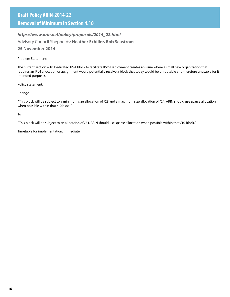# **Removal of Minimum in Section 4.10**

# *https://www.arin.net/policy/proposals/2014\_22.html*

Advisory Council Shepherds: **Heather Schiller, Rob Seastrom**

# **25 November 2014**

# Problem Statement:

The current section 4.10 Dedicated IPv4 block to facilitate IPv6 Deployment creates an issue where a small new organization that requires an IPv4 allocation or assignment would potentially receive a block that today would be unroutable and therefore unusable for it intended purposes.

Policy statement:

# Change

"This block will be subject to a minimum size allocation of /28 and a maximum size allocation of /24. ARIN should use sparse allocation when possible within that /10 block."

To

"This block will be subject to an allocation of /24. ARIN should use sparse allocation when possible within that /10 block."

Timetable for implementation: Immediate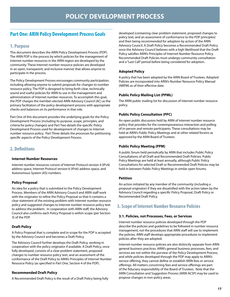# **Part One: ARIN Policy Development Process Goals**

# **1. Purpose**

This document describes the ARIN Policy Development Process (PDP). The ARIN PDP is the process by which policies for the management of Internet number resources in the ARIN region are developed by the community. These Internet number resource policies are developed in an open, transparent, and inclusive manner that allows anyone to participate in the process.

The Policy Development Process encourages community participation, including allowing anyone to submit proposals for changes to number resource policy. The PDP is designed to bring forth clear, technically sound and useful policies for ARIN to use in the management and administration of Internet number resources. To accomplish this goal, the PDP charges the member-elected ARIN Advisory Council (AC) as the primary facilitators of the policy development process with appropriate checks and balances on its performance in that role.

Part One of this document provides the underlying goals for the Policy Development Process (including its purpose, scope, principles, and criteria for policy changes) and Part Two details the specific Policy Development Process used for development of changes to Internet number resource policy. Part Three details the processes for petitioning specific aspects of the Policy Development Process.

# **2. Definitions**

#### **Internet Number Resources**

Internet number resources consist of Internet Protocol version 4 (IPv4) address space, Internet Protocol version 6 (IPv6) address space, and Autonomous System (AS) numbers.

## **Policy Proposal**

An idea for a policy that is submitted to the Policy Development Process. Members of the ARIN Advisory Council and ARIN staff work with the originator to refine the Policy Proposal so that it contains a clear statement of the existing problem with Internet number resource policy and suggested changes to Internet number resource policy text to address the problem. In cooperation with ARIN staff, the Advisory Council also confirms each Policy Proposal is within scope (per Section 3) of the PDP.

## **Draft Policy**

A Policy Proposal that is complete and in scope for the PDP is accepted by the Advisory Council and becomes a Draft Policy.

The Advisory Council further develops the Draft Policy, working in cooperation with the policy originator if available. A Draft Policy, once fully developed, consists of a clear problem statement, proposed changes to number resource policy text, and an assessment of the conformance of the Draft Policy to ARIN's Principles of Internet Number Resource Policy (as specified in Part One, Section 4 of the PDP).

## **Recommended Draft Policy**

A Recommended Draft Policy is the result of a Draft Policy being fully

developed (containing clear problem statement, proposed changes to policy text, and an assessment of conformance to the PDP principles) and then being recommended for adoption by action of the ARIN Advisory Council. A Draft Policy becomes a Recommended Draft Policy once the Advisory Council believes with a high likelihood that the Draft Policy satisfies ARIN's Principles of Internet Number Resource Policy. Recommended Draft Policies must undergo community consultation and a "Last Call" period before being considered for adoption.

#### **Adopted Policy**

A policy that has been adopted by the ARIN Board of Trustees. Adopted Policies are incorporated into ARIN's Number Resource Policy Manual (NRPM) as of their effective date.

#### **Public Policy Mailing List (PPML)**

The ARIN public mailing list for discussion of Internet number resource policy.

#### **Public Policy Consultation (PPC)**

An open public discussion held by ARIN of Internet number resource policy that provides for the contemporaneous interaction and polling of in-person and remote participants. These consultations may be held at ARIN's Public Policy Meetings and at other related forums as approved by the ARIN Board of Trustees.

#### **Public Policy Meeting (PPM)**

A public forum held periodically by ARIN that includes Public Policy Consultations of all Draft and Recommended Draft Policies. Public Policy Meetings are held at least annually, although Public Policy Consultations for selected Draft or Recommended Draft Policies may be held in between Public Policy Meetings in similar open forums.

#### **Petition**

An action initiated by any member of the community (including a proposal originator) if they are dissatisfied with the action taken by the Advisory Council regarding a specific Policy Proposal, Draft Policy or Recommended Draft Policy.

# **3. Scope of Internet Number Resource Policies**

#### **3.1. Policies, not Processes, Fees, or Services**

Internet number resource policies developed through the PDP describe the policies and guidelines to be followed in number resource management, not the procedures that ARIN staff will use to implement the policies. ARIN staff develops appropriate procedures to implement policies after they are adopted.

Internet number resource policies are also distinctly separate from ARIN general business practices. ARIN's general business processes, fees, and services are not within the purview of the Policy Development Process, and while policies developed through the PDP may apply to ARIN's service offering, they cannot define or establish ARIN fees or service offerings. All matters concerning fees and service offerings are part of the fiduciary responsibility of the Board of Trustees. Note that the ARIN Consultation and Suggestion Process (ARIN ACSP) may be used to propose changes in non-policy areas.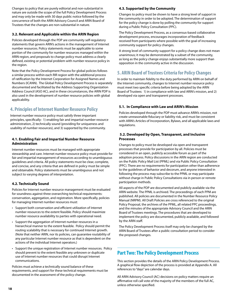Changes to policy that are purely editorial and non-substantial in nature are outside the scope of the full Policy Development Process and may only be made with 30 days public notice followed by the concurrence of both the ARIN Advisory Council and ARIN Board of Trustees that the changes are non-substantial in nature.

#### **3.2. Relevant and Applicable within the ARIN Region**

Policies developed through the PDP are community self-regulatory statements that govern ARIN's actions in the management of Internet number resources. Policy statements must be applicable to some portion of the community for number resources managed within the ARIN region, and proposals to change policy must address a clearly defined, existing or potential problem with number resource policy in the region.

Note that the Policy Development Process for global policies follows a similar process within each RIR region with the additional process of ratification by the Internet Corporation for Assigned Names and Numbers (ICANN). The Global Policy Development Process is separately documented and facilitated by the Address Supporting Organization Address Council (ASO AC), and in these circumstances, the ARIN PDP is also used in the development of number resource policies with global applicability.

# **4. Principles of Internet Number Resource Policy**

Internet number resource policy must satisfy three important principles, specifically: 1) enabling fair and impartial number resource administration, 2) technically sound (providing for uniqueness and usability of number resources), and 3) supported by the community.

#### **4.1. Enabling Fair and Impartial Number Resource Administration**

Internet number resources must be managed with appropriate stewardship and care. Internet number resource policy must provide for fair and impartial management of resources according to unambiguous guidelines and criteria. All policy statements must be clear, complete, and concise, and any criteria that are defined in policy must be simple and obtainable. Policy statements must be unambiguous and not subject to varying degrees of interpretation.

#### **4.2. Technically Sound**

Policies for Internet number resource management must be evaluated for soundness against three overarching technical requirements: conservation, aggregation, and registration. More specifically, policies for managing Internet number resources must:

- Support both conservation and efficient utilization of Internet number resources to the extent feasible. Policy should maximize number resource availability to parties with operational need.
- Support the aggregation of Internet number resources in a hierarchical manner to the extent feasible. Policy should permit the routing scalability that is necessary for continued Internet growth. (Note that neither ARIN, nor its policies, can guarantee routability of any particular Internet number resource as that is dependent on the actions of the individual Internet operators.)
- Support the unique registration of Internet number resources. Policy should prevent to the extent feasible any unknown or duplicate use of Internet number resources that could disrupt Internet communications.

Policies must achieve a technically sound balance of these requirements, and support for these technical requirements must be documented in the assessment of the policy change.

#### **4.3. Supported by the Community**

Changes to policy must be shown to have a strong level of support in the community in order to be adopted. The determination of support for the policy change is done by polling the community for support during a Public Policy Consultation (PPC).

The Policy Development Process, as a consensus-based collaborative development process, encourages incorporation of feedback received from participants where possible with the goal of increasing community support for policy changes.

A strong level of community support for a policy change does not mean unanimous; it may be demonstrated by a subset of the community, as long as the policy change enjoys substantially more support than opposition in the community active in the discussion.

# **5. ARIN Board of Trustees Criteria for Policy Changes**

In order to maintain fidelity to the duty performed by ARIN on behalf of the Internet community, changes to Internet number resource policy must meet two specific criteria before being adopted by the ARIN Board of Trustees: 1) in compliance with law and ARIN's mission, and 2) developed via open and transparent processes.

#### **5.1. In Compliance with Law and ARIN's Mission**

Policies developed through the PDP must advance ARIN's mission, not create unreasonable fiduciary or liability risk, and must be consistent with ARIN's Articles of Incorporation, Bylaws, and all applicable laws and regulations.

#### **5.2. Developed by Open, Transparent, and Inclusive Processes**

Changes to policy must be developed via open and transparent processes that provide for participation by all. Policies must be considered in an open, publicly accessible forum as part of the adoption process. Policy discussions in the ARIN region are conducted on the Public Policy Mail List (PPML) and via Public Policy Consultation (PPC). There are no requirements for participation other than adherence to the guidelines of behavior and decorum, and anyone interested in following the process may subscribe to the PPML or may participate without charge in Public Policy Consultations via in person or remote participation methods.

All aspects of the PDP are documented and publicly available via the ARIN website. The PPML is archived. The proceedings of each PPM are published. All policies are documented in the Number Resource Policy Manual (NRPM). All Draft Policies are cross referenced to the original Policy Proposal, the archives of the PPML, all related PPC proceedings, and the minutes of the appropriate Advisory Council and the ARIN Board of Trustees meetings. The procedures that are developed to implement the policy are documented, publicly available, and followed by the ARIN staff.

The Policy Development Process itself may only be changed by the ARIN Board of Trustees after a public consultation period to consider the proposed changes.

# **Part Two: The Policy Development Process**

This section provides the details of the ARIN Policy Development Process. A graphical flow depiction of the process is provided at Appendix A. All references to "days" are calendar days.

All ARIN Advisory Council (AC) decisions on policy matters require an affirmative roll call vote of the majority of the members of the full AC, unless otherwise specified.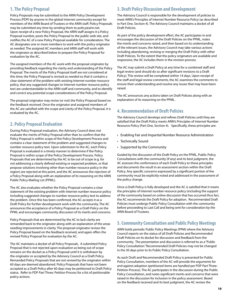# **1. The Policy Proposal**

Policy Proposals may be submitted to the ARIN Policy Development Process (PDP) by anyone in the global Internet community except for members of the ARIN Board of Trustees or the ARIN staff. Policy Proposals may be submitted any time by sending them to policy@arin.net. Upon receipt of a new Policy Proposal, the ARIN staff assigns it a Policy Proposal number, posts the Policy Proposal to the public web site, and notifies the AC of a new Policy Proposal available for consideration. The AC designates one or more members to work with the policy originator as needed. The assigned AC members and ARIN staff will work with the originator as described below to prepare the Policy Proposal for evaluation by the AC.

The assigned members of the AC work with the proposal originator by providing feedback regarding the clarity and understanding of the Policy Proposal. The merits of the Policy Proposal itself are not considered at this time; the Policy Proposal is revised as needed so that it contains a clear statement of the problem with existing Internet number resource policy, that any suggested changes to Internet number resource policy text are understandable to the ARIN staff and community, and to identify and correct any potential scope considerations of the Policy Proposal.

The proposal originator may revise (or not) the Policy Proposal based on the feedback received. Once the originator and assigned members of the AC are satisfied with the scope and clarity of the Policy Proposal, it is evaluated by the AC.

# **2. Policy Proposal Evaluation**

During Policy Proposal evaluation, the Advisory Council does not evaluate the merits of Policy Proposal other than to confirm that the Policy Proposal is within scope of the Policy Development Process and contains a clear statement of the problem and suggested changes to number resource policy text. Upon submission to the AC, each Policy Proposal is evaluated in a timely manner to determine if the Policy Proposal is within scope of the Policy Development Process. Policy Proposals that are determined by the AC to be out of scope (e.g. for not addressing a clearly defined existing or expected problem, or that propose solutions involving other than number resource policy in the region) are rejected at this point, and the AC announces the rejection of a Policy Proposal along with an explanation of its reasoning on the ARIN Public Policy Mailing List (PPML).

The AC also evaluates whether the Policy Proposal contains a clear statement of the existing problem with Internet number resource policy including suggested changes to number resource policy text to address the problem. Once this has been confirmed, the AC accepts it as a Draft Policy for further development work with the community. The AC announces the acceptance of a Policy Proposal as a Draft Policy on the PPML and encourages community discussion of its merits and concerns.

Policy Proposals that are determined by the AC to lack clarity are remanded back to the originator along with an explanation of the areas needing improvements in clarity. The proposal originator revises the Policy Proposal based on the feedback received, and again offers the revised Policy Proposal for evaluation by the AC.

The AC maintains a docket of all Policy Proposals. A submitted Policy Proposal that is not rejected upon evaluation as being out of scope remains on the docket as a Policy Proposal until it is withdrawn by the originator or accepted by the Advisory Council as a Draft Policy. Remanded Policy Proposals that are not revised by the originator within 60 days are deemed abandoned. Policy Proposals that have not been accepted as a Draft Policy after 60 days may be petitioned to Draft Policy status. Refer to PDP Part Three: Petition Process for a list of petitionable policy actions.

# **3. Draft Policy Discussion and Development**

The Advisory Council is responsible for the development of policies to meet ARIN's Principles of Internet Number Resource Policy (as described in Part One, Section 4). The Advisory Council maintains a docket of all Draft Policies.

As part of the policy development effort, the AC participates in and encourages the discussion of the Draft Policies on the PPML, notes the merits and concerns raised, and then based on its understanding of the relevant issues, the Advisory Council may take various actions including abandoning, revising or merging the Draft Policy with other Draft Policies. To the extent that the policy originators are available and responsive, the AC includes them in the revision process.

The AC may submit a Draft Policy at any time for a combined staff and legal review (and should do so after significant revisions to a Draft Policy). This review will be completed within 14 days. Upon receipt of the staff and legal review comments, the AC examines the comments to ensure their understanding and resolve any issues that may have been raised.

The AC announces any actions taken on Draft Policies along with an explanation of its reasoning on the PPML.

# **4. Recommendation of Draft Policies**

The Advisory Council develops and refines Draft Policies until they are satisfied that the Draft Policy meets ARIN's Principles of Internet Number Resource Policy (Part One, Section 4). Specifically, these principles are:

- Enabling Fair and Impartial Number Resource Administration
- Technically Sound
- Supported by the Community

Guided by the discussion of the Draft Policy on the PPML, Public Policy Consultations with the community (if any) and its best judgment, the AC assesses the conformance of each Draft Policy to these principles and documents the result in an assessment section within the Draft Policy. Any specific concerns expressed by a significant portion of the community must be explicitly noted and addressed in the assessment of the policy change.

Once a Draft Policy is fully developed and the AC is satisfied that it meets the principles of Internet number resource policy (including the support of the community based on online discussion that has occurred thus far), the AC recommends the Draft Policy for adoption. Recommended Draft Policies must undergo Public Policy Consultation with the community before proceeding to Last Call and being sent for consideration by the ARIN Board of Trustees.

# **5. Community Consultation and Public Policy Meetings**

ARIN holds periodic Public Policy Meetings (PPM) where the Advisory Council reports on the status of all Draft Policies and Recommended Draft Policies on its docket for discussion and feedback from the community. The presentation and discussion is referred to as a "Public Policy Consultation." Recommended Draft Policies may not be changed in the 30 days prior to its Public Policy Consultation.

As each Draft and Recommended Draft Policy is presented for Public Policy Consultation, members of the AC will provide the arguments for and against adoption (petitioned items are handled per PDP Part Three: Petition Process). The AC participates in the discussion during the Public Policy Consultation, and notes significant merits and concerns that were raised in the discussion for inclusion in the policy assessment. Based on the feedback received and its best judgment, the AC revises the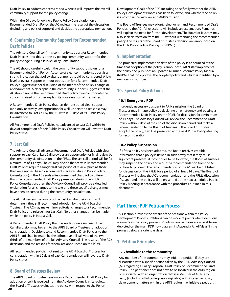Draft Policy to address concerns raised where it will improve the overall community support for the policy change.

Within the 60 days following a Public Policy Consultation on a Recommended Draft Policy, the AC reviews the result of the discussion (including any polls of support) and decides the appropriate next action.

# **6. Confirming Community Support for Recommended Draft Policies**

The Advisory Council confirms community support for Recommended Draft Policies, and this is done by polling community support for the policy change during a Public Policy Consultation.

The AC should carefully weigh the community support shown for a Recommended Draft Policy. Absence of clear community support is a strong indication that policy abandonment should be considered. A low level of overall support without opposition for a Recommended Draft Policy suggests further discussion of the merits of the policy change or abandonment. A clear split in the community support suggests that the AC should revise the Recommended Draft Policy to accommodate the concerns raised or further explain its consideration of the matter.

A Recommended Draft Policy that has demonstrated clear support (and only relatively low opposition for well-understood reasons) may be advanced to Last Call by the AC within 60 days of its Public Policy Consultation.

All Recommended Draft Policies not advanced to Last Call within 60 days of completion of their Public Policy Consultation will revert to Draft Policy status.

# **7. Last Call**

The Advisory Council advances Recommended Draft Policies with clear support to Last Call. Last Call provides an opportunity for final review by the community via discussion on the PPML. The last call period will be for a minimum of 14 days. The AC may decide that certain Recommended Draft Policies require a longer last call period of review (such as those that were revised based on comments received during Public Policy Consultation). If the AC sends a Recommended Draft Policy different than the recommended Draft Policy presented during the Public Policy Consultation, then the Advisory Council will provide a detailed explanation for all changes to the text and these specific changes must have been discussed during the community consultation.

The AC will review the results of the Last Call discussion, and will determine if they still recommend adoption by the ARIN Board of Trustees. The AC may make minor editorial changes to a Recommended Draft Policy and reissue it for Last Call. No other changes may be made while the policy is in Last Call.

A Recommended Draft Policy that has undergone a successful Last Call discussion may be sent to the ARIN Board of Trustees for adoption consideration. Decisions to send Recommended Draft Policies to the ARIN Board shall be made by the affirmative roll call vote of the two thirds of the members of the full Advisory Council. The results of the AC's decisions, and the reasons for them, are announced on the PPML.

All recommended policies not sent to the ARIN Board of Trustees for consideration within 60 days of Last Call completion will revert to Draft Policy status.

# **8. Board of Trustees Review**

The ARIN Board of Trustees evaluates a Recommended Draft Policy for adoption once it is received from the Advisory Council. In its review, the Board of Trustees evaluates the policy with respect to the Policy

Development Goals of the PDP including specifically whether the ARIN Policy Development Process has been followed, and whether the policy is in compliance with law and ARIN's mission.

The Board of Trustees may adopt, reject or remand Recommended Draft Policies to the AC. All rejections will include an explanation. Remands will explain the need for further development. The Board of Trustees may also seek clarification from the AC without remanding the recommended policy. The results of the Board of Trustees' decision are announced on the ARIN Public Policy Mailing List (PPML).

# **9. Implementation**

The projected implementation date of the policy is announced at the time that adoption of the policy is announced. ARIN staff implements the policy and publishes an updated Number Resource Policy Manual (NRPM) that incorporates the adopted policy and which is identified by a new version number.

# **10. Special Policy Actions**

## **10.1 Emergency PDP**

If urgently necessary pursuant to ARIN's mission, the Board of Trustees may initiate policy by declaring an emergency and posting a Recommended Draft Policy on the PPML for discussion for a minimum of 14 days. The Advisory Council will review the Recommended Draft Policy within 7 days of the end of the discussion period and make a recommendation to the Board of Trustees. If the Board of Trustees adopts the policy, it will be presented at the next Public Policy Meeting for reconsideration.

#### **10.2 Policy Suspension**

If, after a policy has been adopted, the Board receives credible information that a policy is flawed in such a way that it may cause significant problems if it continues to be followed, the Board of Trustees may suspend the policy and request a recommendation from the AC on how to proceed. The recommendation of the AC will be published for discussion on the PPML for a period of at least 14 days. The Board of Trustees will review the AC's recommendation and the PPML discussion. If suspended, the policy will be presented at the next scheduled Public Policy Meeting in accordance with the procedures outlined in this document.

# **Part Three: PDP Petition Process**

This section provides the details of the petitions within the Policy Development Process. Petitions can be made at points where decisions are made in the policy process. Points where petitions are available are depicted on the main PDP flow diagram in Appendix A. All "days" in the process below are calendar days.

# **1. Petition Principles**

#### **1.1. Available to the community**

Any member of the community may initiate a petition if they are dissatisfied with a specific action taken by the ARIN Advisory Council (AC) regarding a Policy Proposal, Draft Policy or Recommended Draft Policy. The petitioner does not have to be located in the ARIN region or associated with an organization that is a Member of ARIN; any party (including a Policy Proposal originator) with interest in policy development matters within the ARIN region may initiate a petition.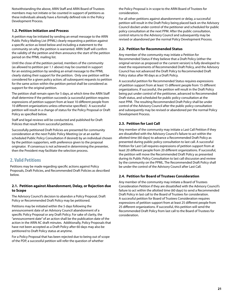Notwithstanding the above, ARIN Staff and ARIN Board of Trustees members may not initiate or be counted in support of petitions as these individuals already have a formally defined role in the Policy Development Process.

#### **1.2. Petition Initiation and Process**

A petition may be initiated by sending an email message to the ARIN Public Policy Mailing List (PPML) clearly requesting a petition against a specific action as listed below and including a statement to the community on why the petition is warranted. ARIN Staff will confirm the validity of the petition and then announce the start of the petition period on the PPML mailing list.

Until the close of the petition period, members of the community (as allowed to petition per 1.1 above) may be counted in support for an existing petition by sending an email message to the PPML clearly stating their support for the petition. Only one petition will be considered for a given policy action; all subsequent requests to petition for the same action within the petition period shall be considered as support for the original petition.

The petition shall remain open for 5 days, at which time the ARIN Staff shall determine if the petition succeeds (a successful petition requires expressions of petition support from at least 10 different people from 10 different organizations unless otherwise specified.) A successful petition will result in a change of status for the Policy Proposal or Draft Policy as specified below.

Staff and legal reviews will be conducted and published for Draft Policies that result from successful petitions.

Successfully petitioned Draft Policies are presented for community consideration at the next Public Policy Meeting (or at an earlier scheduled Public Policy Consultation if desired) by an individual chosen by the petition supporters, with preference given to the proposal originator. If consensus is not achieved in determining the presenter, then the President may facilitate the selection process.

# **2. Valid Petitions**

Petitions may be made regarding specific actions against Policy Proposals, Draft Policies, and Recommended Draft Policies as described below.

#### **2.1. Petition against Abandonment, Delay, or Rejection due to Scope**

The Advisory Council's decision to abandon a Policy Proposal, Draft Policy or Recommended Draft Policy may be petitioned.

Petitions may be initiated within the 5 days following the announcement date of an Advisory Council abandonment of a specific Policy Proposal or any Draft Policy. For sake of clarity, the "announcement date" of an action shall be the publication date of the action in the ARIN AC draft minutes. Additionally, Policy Proposals that have not been accepted as a Draft Policy after 60 days may also be petitioned to Draft Policy status at anytime.

For a Policy Proposal that has been rejected due to being out of scope of the PDP, a successful petition will refer the question of whether

the Policy Proposal is in scope to the ARIN Board of Trustees for consideration.

For all other petitions against abandonment or delay, a successful petition will result in the Draft Policy being placed back on the Advisory Council docket under control of the petitioner and scheduled for public policy consultation at the next PPM. After the public consultation, control returns to the Advisory Council and subsequently may be revised or abandoned per the normal Policy Development Process.

## **2.2. Petition for Recommended Status**

Any member of the community may initiate a Petition for Recommended Status if they believe that a Draft Policy (either the original version as proposed or the current version) is fully developed to meet the requirements of Recommended Draft Policy, and the Advisory Council has not advanced the Draft Policy to Recommended Draft Policy status after 90 days as a Draft Policy.

A successful petition for Recommended Status requires expressions of petition support from at least 15 different people from 15 different organizations. If successful, the petition will result in the Draft Policy being put under control of the petitioner, advanced to Recommended Draft status, and scheduled for public policy consultation at the next PPM. The resulting Recommended Draft Policy shall be under control of the Advisory Council after the public policy consultation and subsequently may be revised or abandoned per the normal Policy Development Process.

# **2.3. Petition for Last Call**

Any member of the community may initiate a Last Call Petition if they are dissatisfied with the Advisory Council's failure to act within the allotted time (60 days) to advance a Recommended Draft Policy as presented during public policy consultation to last call. A successful Petition for Last Call requires expressions of petition support from at least 20 different people from 20 different organizations. If successful, the petition will move the Recommended Draft Policy as presented during its Public Policy Consultation to last call discussion and review by the community on the PPML. The Recommended Draft Policy shall be under the control of the Advisory Council after Last Call.

## **2.4. Petition for Board of Trustees Consideration**

Any member of the community may initiate a Board of Trustees Consideration Petition if they are dissatisfied with the Advisory Council's failure to act within the allotted time (60 days) to send a Recommended Draft Policy in last call to the Board of Trustees for consideration. A successful petition for Board of Trustees Consideration requires expressions of petition support from at least 25 different people from 25 different organizations. If successful, this petition will send the Recommended Draft Policy from last call to the Board of Trustees for consideration.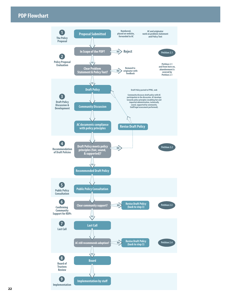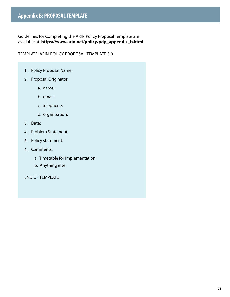Guidelines for Completing the ARIN Policy Proposal Template are available at: **https://www.arin.net/policy/pdp\_appendix\_b.html**

TEMPLATE: ARIN-POLICY-PROPOSAL-TEMPLATE-3.0

- 1. Policy Proposal Name:
- 2. Proposal Originator
	- a. name:
	- b. email:
	- c. telephone:
	- d. organization:
- 3. Date:
- 4. Problem Statement:
- 5. Policy statement:
- 6. Comments:
	- a. Timetable for implementation:
	- b. Anything else

END OF TEMPLATE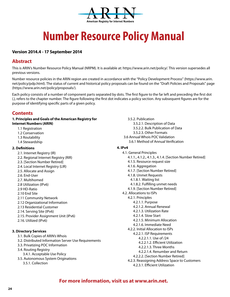

# **Number Resource Policy Manual**

# **Version 2014.4 - 17 September 2014**

# **Abstract**

This is ARIN's Number Resource Policy Manual (NRPM). It is available at: https://www.arin.net/policy/. This version supersedes all previous versions.

Number resource policies in the ARIN region are created in accordance with the "Policy Development Process" (https://www.arin. net/policy/pdp.html). The status of current and historical policy proposals can be found on the "Draft Policies and Proposals" page (https://www.arin.net/policy/proposals/).

Each policy consists of a number of component parts separated by dots. The first figure to the far left and preceding the first dot (.), refers to the chapter number. The figure following the first dot indicates a policy section. Any subsequent figures are for the purpose of identifying specific parts of a given policy.

# **Contents**

#### **1. Principles and Goals of the American Registry for Internet Numbers (ARIN)**

- 1.1 Registration
- 1.2 Conservation
- 1.3 Routability
- 1.4 Stewardship

## **2. Definitions**

- 2.1. Internet Registry (IR)
- 2.2. Regional Internet Registry (RIR)
- 2.3. [Section Number Retired]
- 2.4. Local Internet Registry (LIR)
- 2.5. Allocate and Assign
- 2.6. End-User
- 2.7. Multihomed
- 2.8 Utilization (IPv6)
- 2.9 HD-Ratio
- 2.10 End Site
- 2.11 Community Network
- 2.12 Organizational Information
- 2.13 Residential Customer
- 2.14. Serving Site (IPv6)
- 2.15. Provider Assignment Unit (IPv6)
- 2.16. Utilized (IPv6)

# **3. Directory Services**

- 3.1. Bulk Copies of ARIN's Whois
- 3.2. Distributed Information Server Use Requirements
- 3.3. Privatizing POC Information
- 3.4. Routing Registry
- 3.4.1. Acceptable Use Policy
- 3.5. Autonomous System Originations 3.5.1. Collection

3.5.2. Publication 3.5.2.1. Description of Data 3.5.2.2. Bulk Publication of Data 3.5.2.3. Other Formats 3.6 Annual Whois POC Validation 3.6.1 Method of Annual Verification

#### **4. IPv4**

4.1. General Principles 4.1.1., 4.1.2., 4.1.3., 4.1.4. [Section Number Retired] 4.1.5. Resource request size 4.1.6. Aggregation 4.1.7. [Section Number Retired] 4.1.8. Unmet Requests 4.1.8.1. Waiting list 4.1.8.2. Fulfilling unmet needs 4.1.9. [Section Number Retired] 4.2. Allocations to ISPs 4.2.1. Principles 4.2.1.1. Purpose 4.2.1.2. Annual Renewal 4.2.1.3. Utilization Rate 4.2.1.4. Slow Start 4.2.1.5. Minimum Allocation 4.2.1.6. Immediate Need 4.2.2. Initial Allocation to ISPs 4.2.2.1. ISP Requirements 4.2.2.1.1. Use of /24 4.2.2.1.2. Efficient Utilization 4.2.2.1.3. Three Months 4.2.2.1.4. Renumber and Return 4.2.2.2. [Section Number Retired] 4.2.3. Reassigning Address Space to Customers 4.2.3.1. Efficient Utilization

# **For more information, visit us at www.arin.net.**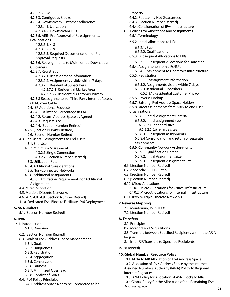4.2.3.2. VLSM 4.2.3.3. Contiguous Blocks 4.2.3.4. Downstream Customer Adherence 4.2.3.4.1. Utilization 4.2.3.4.2. Downstream ISPs 4.2.3.5. ARIN Pre-Approval of Reassignments/ Reallocations 4.2.3.5.1. /18 4.2.3.5.2. /19 4.2.3.5.3. Required Documentation for Pre-Approval Requests 4.2.3.6. Reassignments to Multihomed Downstream Customers 4.2.3.7. Registration 4.2.3.7.1. Reassignment Information 4.2.3.7.2. Assignments visible within 7 days 4.2.3.7.3. Residential Subscribers 4.2.3.7.3.1. Residential Market Area 4.2.3.7.3.2. Residential Customer Privacy 4.2.3.8 Reassignments for Third Party Internet Access (TPIA) over Cable 4.2.4. ISP Additional Requests 4.2.4.1. Utilization Percentage (80%) 4.2.4.2. Return Address Space as Agreed 4.2.4.3. Request size 4.2.4.4. [Section Number Retired] 4.2.5. [Section Number Retired] 4.2.6. [Section Number Retired] 4.3. End-Users—Assignments to End-Users 4.3.1. End-User 4.3.2. Minimum Assignment 4.3.2.1 Single Connection 4.3.2.2 [Section Number Retired] 4.3.3. Utilization Rate 4.3.4. Additional Considerations 4.3.5. Non-Connected Networks 4.3.6. Additional Assignments 4.3.6.1 Utilization Requirements for Additional Assignment 4.4. Micro-Allocation 4.5. Multiple Discrete Networks 4.6., 4.7., 4.8., 4.9. [Section Number Retired] 4.10. Dedicated IPv4 Block to Facilitate IPv6 Deployment **5. AS Numbers**  5.1. [Section Number Retired] **6. IPv6**  6.1. Introduction 6.1.1. Overview 6.2. [Section Number Retired]

6.3. Goals of IPv6 Address Space Management

- 6.3.1. Goals
- 6.3.2. Uniqueness
- 6.3.3. Registration
- 6.3.4. Aggregation
- 6.3.5. Conservation
- 6.3.6. Fairness
- 6.3.7. Minimized Overhead
- 6.3.8. Conflict of Goals
- 6.4. IPv6 Policy Principles
	- 6.4.1. Address Space Not to be Considered to be

Property 6.4.2. Routability Not Guaranteed 6.4.3. [Section Number Retired] 6.4.4. Consideration of IPv4 Infrastructure 6.5. Policies for Allocations and Assignments 6.5.1. Terminology 6.5.2. Initial Allocations to LIRs 6.5.2.1. Size 6.5.2.2. Qualifications 6.5.3. Subsequent Allocations to LIRs 6.5.3.1. Subsequent Allocations for Transition 6.5.4. Assignments from LIRs/ISPs 6.5.4.1. Assignment to Operator's Infrastructure 6.5.5. Registration 6.5.5.1. Reassignment information 6.5.5.2. Assignments visible within 7 days 6.5.5.3 Residential Subscribers 6.5.5.3.1. Residential Customer Privacy 6.5.6. Reverse Lookup 6.5.7. Existing IPv6 Address Space Holders 6.5.8 Direct assignments from ARIN to end-user organizations 6.5.8.1. Initial Assignment Criteria 6.5.8.2. Initial assignment size 6.5.8.2.1 Standard sites 6.5.8.2.2 Extra-large sites 6.5.8.3. Subsequent assignments 6.5.8.4 Consolidation and return of separate assignments 6.5.9. Community Network Assignments 6.5.9.1. Qualification Criteria 6.5.9.2. Initial Assignment Size 6.5.9.3. Subsequent Assignment Size 6.6. [Section Number Retired] 6.7. Appendix A—HD-Ratio 6.8. [Section Number Retired] 6.9. [Section Number Retired] 6.10. Micro-Allocations 6.10.1. Micro-Allocations for Critical Infrastructure 6.10.2. Micro-Allocations for Internal Infrastructure 6.11. IPv6 Multiple Discrete Networks **7. Reverse Mapping**  7.1. Maintaining IN-ADDRs

7.2. [Section Number Retired]

## **8. Transfers**

- 8.1. Principles
- 8.2. Mergers and Acquisitions
- 8.3. Transfers between Specified Recipients within the ARIN Region
- 8.4. Inter-RIR Transfers to Specified Recipients

## **9. [Reserved]**

## **10. Global Number Resource Policy**

10.1. IANA to RIR Allocation of IPv4 Address Space 10.2. Allocation of IPv6 Address Space by the Internet Assigned Numbers Authority (IANA) Policy to Regional Internet Registries

10.3 IANA Policy for Allocation of ASN Blocks to RIRs 10.4 Global Policy for the Allocation of the Remaining IPv4 Address Space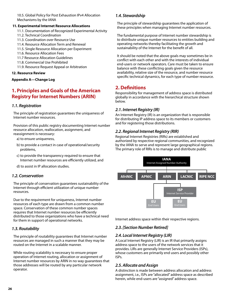10.5. Global Policy for Post Exhaustion IPv4 Allocation Mechanisms by the IANA

#### **11. Experimental Internet Resource Allocations**

- 11.1. Documentation of Recognized Experimental Activity
- 11.2. Technical Coordination
- 11.3. Coordination over Resource Use
- 11.4. Resource Allocation Term and Renewal
- 11.5. Single Resource Allocation per Experiment
- 11.6. Resource Allocation Fees
- 11.7 Resource Allocation Guidelines
- 11.8. Commercial Use Prohibited
- 11.9. Resource Request Appeal or Arbitration

#### **12. Resource Review**

#### **Appendix A—Change Log**

# **1. Principles and Goals of the American Registry for Internet Numbers (ARIN)**

## *1.1. Registration*

The principle of registration guarantees the uniqueness of Internet number resources.

Provision of this public registry documenting Internet number resource allocation, reallocation, assignment, and reassignment is necessary:

- a) to ensure uniqueness,
- b) to provide a contact in case of operational/security problems,
- c) to provide the transparency required to ensure that Internet number resources are efficiently utilized, and
- d) to assist in IP allocation studies.

## *1.2. Conservation*

The principle of conservation guarantees sustainability of the Internet through efficient utilization of unique number resources.

Due to the requirement for uniqueness, Internet number resources of each type are drawn from a common number space. Conservation of these common number spaces requires that Internet number resources be efficiently distributed to those organizations who have a technical need for them in support of operational networks.

## *1.3. Routability*

The principle of routability guarantees that Internet number resources are managed in such a manner that they may be routed on the Internet in a scalable manner.

While routing scalability is necessary to ensure proper operation of Internet routing, allocation or assignment of Internet number resources by ARIN in no way guarantees that those addresses will be routed by any particular network operator.

## *1.4. Stewardship*

The principle of stewardship guarantees the application of these principles when managing Internet number resources.

The fundamental purpose of Internet number stewardship is to distribute unique number resources to entities building and operating networks thereby facilitating the growth and sustainability of the Internet for the benefit of all.

It should be noted that the above goals may sometimes be in conflict with each other and with the interests of individual end-users or network operators. Care must be taken to ensure balance with these conflicting goals given the resource availability, relative size of the resource, and number resource specific technical dynamics, for each type of number resource.

# **2. Definitions**

Responsibility for management of address space is distributed globally in accordance with the hierarchical structure shown below.

## *2.1. Internet Registry (IR)*

An Internet Registry (IR) is an organization that is responsible for distributing IP address space to its members or customers and for registering those distributions.

# *2.2. Regional Internet Registry (RIR)*

Regional Internet Registries (RIRs) are established and authorized by respective regional communities, and recognized by the IANA to serve and represent large geographical regions. The primary role of RIRs is to manage and distribute public



Internet address space within their respective regions.

# *2.3. [Section Number Retired]*

# *2.4. Local Internet Registry (LIR)*

A Local Internet Registry (LIR) is an IR that primarily assigns address space to the users of the network services that it provides. LIRs are generally Internet Service Providers (ISPs), whose customers are primarily end users and possibly other ISPs.

# *2.5. Allocate and Assign*

A distinction is made between address allocation and address assignment, i.e., ISPs are "allocated" address space as described herein, while end-users are "assigned" address space.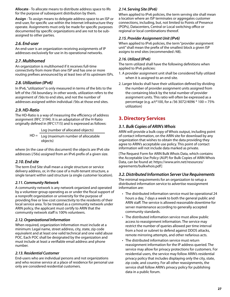**Allocate** - To allocate means to distribute address space to IRs for the purpose of subsequent distribution by them.

**Assign** - To assign means to delegate address space to an ISP or end-user, for specific use within the Internet infrastructure they operate. Assignments must only be made for specific purposes documented by specific organizations and are not to be subassigned to other parties.

# *2.6. End-user*

An end-user is an organization receiving assignments of IP addresses exclusively for use in its operational networks.

# *2.7. Multihomed*

An organization is multihomed if it receives full-time connectivity from more than one ISP and has one or more routing prefixes announced by at least two of its upstream ISPs.

# *2.8. Utilization (IPv6)*

In IPv6, "utilization" is only measured in terms of the bits to the left of the /56 boundary. In other words, utilization refers to the assignment of /56s to end sites, and not the number of addresses assigned within individual /56s at those end sites.

# *2.9. HD-Ratio*

The HD-Ratio is a way of measuring the efficiency of address assignment (RFC 3194). It is an adaptation of the H-Ratio originally defined in (RFC1715) and is expressed as follows:

> $HD = Log (maximum number of allocated the)$ Log (number of allocated objects) objects)

where (in the case of this document) the objects are IPv6 site addresses (/56s) assigned from an IPv6 prefix of a given size.

# *2.10. End site*

The term End Site shall mean a single structure or service delivery address, or, in the case of a multi-tenant structure, a single tenant within said structure (a single customer location).

# *2.11. Community Network*

A community network is any network organized and operated by a volunteer group operating as or under the fiscal support of a nonprofit organization or university for the purpose of providing free or low-cost connectivity to the residents of their local service area. To be treated as a community network under ARIN policy, the applicant must certify to ARIN that the community network staff is 100% volunteers.

# *2.12. Organizational Information*

When required, organization Information must include at a minimum: Legal name, street address, city, state, zip code equivalent and at least one valid technical and one valid abuse POC. Each POC shall be designated by the organization and must include at least a verifiable email address and phone number.

# *2.13. Residential Customer*

End-users who are individual persons and not organizations and who receive service at a place of residence for personal use only are considered residential customers.

# *2.14. Serving Site (IPv6)*

When applied to IPv6 policies, the term serving site shall mean a location where an ISP terminates or aggregates customer connections, including, but, not limited to Points of Presence (POPs), Datacenters, Central or Local switching office or regional or local combinations thereof.

# *2.15. Provider Assignment Unit (IPv6)*

When applied to IPv6 policies, the term "provider assignment unit" shall mean the prefix of the smallest block a given ISP assigns to end sites (recommended /48).

# *2.16. Utilized (IPv6)*

The term utilized shall have the following definitions when applied to IPv6 policies:

- 1. A provider assignment unit shall be considered fully utilized when it is assigned to an end-site.
- 2. Larger blocks shall have their utilization defined by dividing the number of provider assignment units assigned from the containing block by the total number of provider assignment units. This ratio will often be expressed as a percentage (e.g. a/t\*100, for a /36 3072/4096 \* 100 = 75% utilization)

# **3. Directory Services**

# *3.1. Bulk Copies of ARIN's Whois*

ARIN will provide a bulk copy of Whois output, including point of contact information, on the ARIN site for download by any organization that wishes to obtain the data providing they agree to ARIN's acceptable use policy. This point of contact information will not include data marked as private.

[The Request Form for ARIN Bulk Whois Data, which contains the Acceptable Use Policy (AUP) for Bulk Copies of ARIN Whois Data, can be found at: https://www.arin.net/resources/ agreements/bulkwhois.pdf]

# *3.2. Distributed Information Server Use Requirements*

The minimal requirements for an organization to setup a distributed information service to advertise reassignment information are:

- The distributed information service must be operational 24 hours a day, 7 days a week to both the general public and ARIN staff. The service is allowed reasonable downtime for server maintenance according to generally accepted community standards.
- The distributed information service must allow public access to reassignment information. The service may restrict the number of queries allowed per time interval from a host or subnet to defend against DDOS attacks, remote mirroring attempts, and other nefarious acts.
- The distributed information service must return reassignment information for the IP address queried. The service may allow for privacy protections for customers. For residential users, the service may follow ARIN's residential privacy policy that includes displaying only the city, state, zip code, and country. For all other reassignments, the service shall follow ARIN's privacy policy for publishing data in a public forum.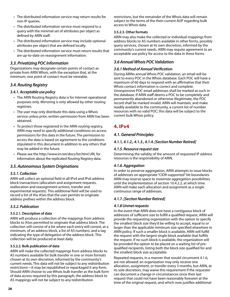- The distributed information service may return results for non-IP queries.
- The distributed information service must respond to a query with the minimal set of attributes per object as defined by ARIN staff.
- The distributed information service may include optional attributes per object that are defined locally.
- The distributed information service must return results that are up-to-date on reassignment information.

# *3.3. Privatizing POC Information*

Organizations may designate certain points of contact as private from ARIN Whois, with the exception that, at the minimum, one point of contact must be viewable.

# *3.4. Routing Registry*

## *3.4.1. Acceptable use policy*

- The ARIN Routing Registry data is for Internet operational purposes only. Mirroring is only allowed by other routing registries.
- The user may only distribute this data using a Whois service unless prior, written permission from ARIN has been obtained.
- To protect those registered in the ARIN routing registry, ARIN may need to specify additional conditions on access permissions for this data in the future. The permission to access the data is based on agreement to the conditions stipulated in this document in addition to any others that may be added in the future.
- Please see the http://www.irr.net/docs/list.html URL for information about the replicated Routing Registry data.

# *3.5. Autonomous System Originations*

## *3.5.1. Collection*

ARIN will collect an optional field in all IPv4 and IPv6 address block transactions (allocation and assignment requests, reallocation and reassignment actions, transfer and experimental requests). This additional field will be used to record a list of the ASes that the user permits to originate address prefixes within the address block.

# *3.5.2. Publication*

## **3.5.2.1. Description of data**

ARIN will produce a collection of the mappings from address blocks to ASes permitted to originate that address block. The collection will consist of a list where each entry will consist, at a minimum, of an address block, a list of AS numbers, and a tag indicating the type of delegation of the address block. This collection will be produced at least daily.

## **3.5.2.2. Bulk publication of data**

ARIN will make the collected mappings from address blocks to AS numbers available for bulk transfer in one or more formats chosen at its own discretion, informed by the community's current needs. This data will not be subject to any redistribution restrictions—it may be republished or repackaged it any form. Should ARIN choose to use Whois bulk transfer as the bulk form of data access required by this paragraph, the address block to AS mappings will not be subject to any redistribution

restrictions, but the remainder of the Whois data will remain subject to the terms of the then-current AUP regarding bulk access to Whois data.

## **3.5.2.3. Other formats**

ARIN may also make the collected or individual mappings from address blocks to AS numbers available in other forms, possibly query services, chosen at its own discretion, informed by the community's current needs. ARIN may require agreement to an acceptable use policy for access to the data in these forms.

# *3.6 Annual Whois POC Validation*

# *3.6.1 Method of Annual Verification*

During ARINs annual Whois POC validation, an email will be sent to every POC in the Whois database. Each POC will have a maximum of 60 days to respond with an affirmative that their Whois contact information is correct and complete. Unresponsive POC email addresses shall be marked as such in the database. If ARIN staff deems a POC to be completely and permanently abandoned or otherwise illegitimate, the POC record shall be marked invalid. ARIN will maintain, and make readily available to the community, a current list of number resources with no valid POC; this data will be subject to the current bulk Whois policy.

# **4. IPv4**

# *4.1. General Principles*

# *4.1.1, 4.1.2., 4.1.3., 4.1.4. [Section Number Retired]*

## *4.1.5. Resource request size*

Determining the validity of the amount of requested IP address resources is the responsibility of ARIN.

# *4.1.6. Aggregation*

In order to preserve aggregation, ARIN attempts to issue blocks of addresses on appropriate "CIDR-supported" bit boundaries. ARIN may reserve space to maximize aggregation possibilities until the implementation of section 10.4.2.2, at which time ARIN will make each allocation and assignment as a single continuous range of addresses.

## *4.1.7. [Section Number Retired]*

# *4.1.8 Unmet requests*

In the event that ARIN does not have a contiguous block of addresses of sufficient size to fulfill a qualified request, ARIN will provide the requesting organization with the option to specify the smallest block size they'd be willing to accept, equal to or larger than the applicable minimum size specified elsewhere in ARIN policy. If such a smaller block is available, ARIN will fulfill the request with the largest single block available that fulfills the request. If no such block is available, the organization will be provided the option to be placed on a waiting list of prequalified recipients, listing both the block size qualified for and the smallest block size acceptable.

Repeated requests, in a manner that would circumvent 4.1.6, are not allowed: an organization may only receive one allocation, assignment, or transfer every 3 months, but ARIN, at its sole discretion, may waive this requirement if the requester can document a change in circumstances since their last request that could not have been reasonably foreseen at the time of the original request, and which now justifies additional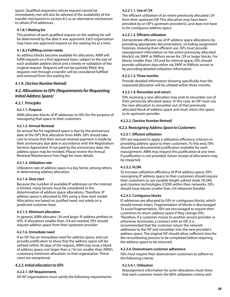space. Qualified requesters whose request cannot be immediately met will also be advised of the availability of the transfer mechanism in section 8.3 as an alternative mechanism to obtain IPv4 addresses.

## **4.1.8.1 Waiting list**

The position of each qualified request on the waiting list will be determined by the date it was approved. Each organization may have one approved request on the waiting list at a time.

## **4.1.8.2 Fulfilling unmet needs**

As address blocks become available for allocation, ARIN will fulfill requests on a first-approved basis, subject to the size of each available address block and a timely re-validation of the original request. Requests will not be partially filled. Any requests met through a transfer will be considered fulfilled and removed from the waiting list.

# *4.1.9. [Section Number Retired]*

# *4.2. Allocations to ISPs (Requirements for Requesting Initial Address Space)*

## *4.2.1. Principles*

## **4.2.1.1. Purpose**

ARIN allocates blocks of IP addresses to ISPs for the purpose of reassigning that space to their customers.

## **4.2.1.2. Annual Renewal**

An annual fee for registered space is due by the anniversary date of the ISP's first allocation from ARIN. ISPs should take care to ensure that their annual renewal payment is made by their anniversary due date in accordance with the Registration Services Agreement. If not paid by the anniversary date, the address space may be revoked. Please review the Annual Renewal/Maintenance Fees Page for more details.

## **4.2.1.3. Utilization rate**

Utilization rate of address space is a key factor, among others, in determining address allocation.

## **4.2.1.4. Slow start**

Because the number of available IP addresses on the Internet is limited, many factors must be considered in the determination of address space allocations. Therefore, IP address space is allocated to ISPs using a slow-start model. Allocations are based on justified need, not solely on a predicted customer base.

## **4.2.1.5. Minimum allocation**

In general, ARIN allocates /24 and larger IP address prefixes to ISPs. If allocations smaller than /24 are needed, ISPs should request address space from their upstream provider.

## **4.2.1.6. Immediate need**

If an ISP has an immediate need for address space, and can provide justification to show that the address space will be utilized within 30 days of the request, ARIN may issue a block of address space, not larger than a /16 nor smaller than ARIN's customary minimum allocation, to that organization. These cases are exceptional.

# *4.2.2. Initial allocation to ISPs*

## **4.2.2.1. ISP Requirements**

All ISP organizations must satisfy the following requirements:

#### **4.2.2.1.1. Use of /24**

The efficient utilization of an entire previously allocated /24 from their upstream ISP. This allocation may have been provided by an ISP's upstream provider(s), and does not have to be contiguous address space.

#### **4.2.2.1.2. Efficient utilization**

Demonstrate efficient use of IP address space allocations by providing appropriate documentation, including assignment histories, showing their efficient use. ISPs must provide reassignment information on the entire previously allocated block(s) via SWIP or RWhois server for /29 or larger blocks. For blocks smaller than /29 and for internal space, ISPs should provide utilization data either via SWIP or RWhois server or by providing detailed utilization information.

## **4.2.2.1.3. Three months**

Provide detailed information showing specifically how the requested allocation will be utilized within three months.

## **4.2.2.1.4. Renumber and return**

ISPs receiving a new allocation may wish to renumber out of their previously allocated space. In this case, an ISP must use the new allocation to renumber out of that previously allocated block of address space and must return the space to its upstream provider.

#### **4.2.2.2. [Section Number Retired]**

## *4.2.3. Reassigning Address Space to Customers*

#### **4.2.3.1. Efficient utilization**

ISPs are required to apply a utilization efficiency criterion in providing address space to their customers. To this end, ISPs should have documented justification available for each reassignment. ARIN may request this justification at any time. If justification is not provided, future receipt of allocations may be impacted.

## **4.2.3.2. VLSM**

To increase utilization efficiency of IPv4 address space, ISPs reassigning IP address space to their customers should require their customers to use variable length subnet mask (VLSM) and classless technologies (CIDR) within their networks. ISPs should issue blocks smaller than /24 wherever feasible.

## **4.2.3.3. Contiguous blocks**

IP addresses are allocated to ISPs in contiguous blocks, which should remain intact. Fragmentation of blocks is discouraged. To avoid fragmentation, ISPs are encouraged to require their customers to return address space if they change ISPs. Therefore, if a customer moves to another service provider or otherwise terminates a contract with an ISP, it is recommended that the customer return the network addresses to the ISP and renumber into the new provider's address space. The original ISP should allow sufficient time for the renumbering process to be completed before requiring the address space to be returned.

#### **4.2.3.4. Downstream customer adherence**

ISPs must require their downstream customers to adhere to the following criteria:

#### **4.2.3.4.1. Utilization**

Reassignment information for prior allocations must show that each customer meets the 80% utilization criteria and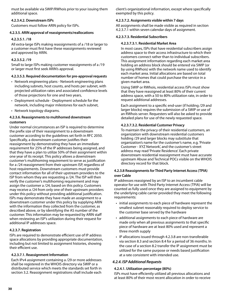must be available via SWIP/RWhois prior to your issuing them additional space.

#### **4.2.3.4.2. Downstream ISPs**

Customers must follow ARIN policy for ISPs.

#### **4.2.3.5. ARIN approval of reassignments/reallocations**

## **4.2.3.5.1. /18**

All extra-large ISPs making reassignments of a /18 or larger to a customer must first have these reassignments reviewed and approved by ARIN.

## **4.2.3.5.2. /19**

Small to large ISPs making customer reassignments of a /19 or larger must first seek ARIN's approval.

## **4.2.3.5.3. Required documentation for pre-approval requests**

- Network engineering plans Network engineering plans including subnets, host counts, and hosts per subnet, with projected utilization rates and associated confidence levels of those projections for one and two years,
- Deployment schedule Deployment schedule for the network, including major milestones for each subnet,
- Network topology diagrams.

## **4.2.3.6. Reassignments to multihomed downstream customers**

Under normal circumstances an ISP is required to determine the prefix size of their reassignment to a downstream customer according to the guidelines set forth in RFC 2050. Specifically, a downstream customer justifies their reassignment by demonstrating they have an immediate requirement for 25% of the IP addresses being assigned, and that they have a plan to utilize 50% of their assignment within one year of its receipt. This policy allows a downstream customer's multihoming requirement to serve as justification for a /24 reassignment from their upstream ISP, regardless of host requirements. Downstream customers must provide contact information for all of their upstream providers to the ISP from whom they are requesting a /24. The ISP will then verify the customer's multihoming requirement and may assign the customer a /24, based on this policy. Customers may receive a /24 from only one of their upstream providers under this policy without providing additional justification. ISPs may demonstrate they have made an assignment to a downstream customer under this policy by supplying ARIN with the information they collected from the customer, as described above, or by identifying the AS number of the customer. This information may be requested by ARIN staff when reviewing an ISP's utilization during their request for additional IP addresses space.

## **4.2.3.7. Registration**

ISPs are required to demonstrate efficient use of IP address space allocations by providing appropriate documentation, including but not limited to assignment histories, showing their efficient use.

## **4.2.3.7.1. Reassignment Information**

Each IPv4 assignment containing a /29 or more addresses shall be registered in the WHOIS directory via SWIP or a distributed service which meets the standards set forth in section 3.2. Reassignment registrations shall include each

client's organizational information, except where specifically exempted by this policy.

## **4.2.3.7.2. Assignments visible within 7 days**

All assignments shall be made visible as required in section 4.2.3.7.1 within seven calendar days of assignment.

#### **4.2.3.7.3. Residential Subscribers**

#### **4.2.3.7.3.1. Residential Market Area**

In most cases, ISPs that have residential subscribers assign address space to their access infrastructure to which their customers connect rather than to individual subscribers. This assignment information regarding each market area holding an address block should be entered via SWIP (or by using RWhois) with the network name used to identify each market area. Initial allocations are based on total number of homes that could purchase the service in a given market area.

Using SWIP or RWhois, residential access ISPs must show that they have reassigned at least 80% of their current address space, with a 50 to 80% utilization rate, in order to request additional addresses.

Each assignment to a specific end-user (if holding /29 and larger blocks) requires the submission of a SWIP or use of an RWhois server. Requesters will also be asked to provide detailed plans for use of the newly requested space.

## **4.2.3.7.3.2. Residential Customer Privacy**

To maintain the privacy of their residential customers, an organization with downstream residential customers holding /29 and larger blocks may substitute that organization's name for the customer's name, e.g. 'Private Customer - XYZ Network', and the customer's street address may read 'Private Residence'. Each private downstream residential reassignment must have accurate upstream Abuse and Technical POCs visible on the WHOIS directory record for that block.

#### **4.2.3.8 Reassignments for Third Party Internet Access (TPIA) over Cable**

IP addresses reassigned by an ISP to an incumbent cable operator for use with Third Party Internet Access (TPIA) will be counted as fully used once they are assigned to equipment by the underlying cable carrier provided they meet the following requirements:

- initial assignments to each piece of hardware represent the smallest subnet reasonably required to deploy service to the customer base served by the hardware
- additional assignments to each piece of hardware are made only when all previous assignments to that specific piece of hardware are at least 80% used and represent a three month supply
- IP allocations issued through 4.2.3.8 are non-transferable via section 8.3 and section 8.4 for a period of 36 months. In the case of a section 8.2 transfer the IP assignment must be utilized for the same purpose or needs based justification at a rate consistent with intended use.

## *4.2.4. ISP Additional Requests*

#### **4.2.4.1. Utilization percentage (80%)**

ISPs must have efficiently utilized all previous allocations and at least 80% of their most recent allocation in order to receive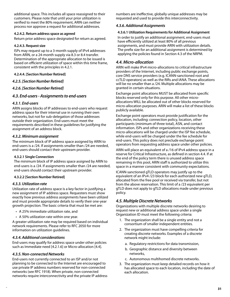additional space. This includes all space reassigned to their customers. Please note that until your prior utilization is verified to meet the 80% requirement, ARIN can neither process nor approve a request for additional addresses.

#### **4.2.4.2. Return address space as agreed**

Return prior address space designated for return as agreed.

#### **4.2.4.3. Request size**

ISPs may request up to a 3-month supply of IPv4 addresses from ARIN, or a 24-month supply via 8.3 or 8.4 transfer. Determination of the appropriate allocation to be issued is based on efficient utilization of space within this time frame, consistent with the principles in 4.2.1.

## **4.2.4.4. [Section Number Retired]**

## *4.2.5. [Section Number Retired]*

## *4.2.6. [Section Number Retired]*

## *4.3. End-users - Assignments to end-users*

#### *4.3.1. End-users*

ARIN assigns blocks of IP addresses to end-users who request address space for their internal use in running their own networks, but not for sub-delegation of those addresses outside their organization. End-users must meet the requirements described in these guidelines for justifying the assignment of an address block.

## *4.3.2. Minimum assignment*

The minimum block of IP address space assigned by ARIN to end-users is a /24. If assignments smaller than /24 are needed, end-users should contact their upstream provider.

#### **4.3.2.1 Single Connection**

The minimum block of IP address space assigned by ARIN to end-users is a /24. If assignments smaller than /24 are needed, end-users should contact their upstream provider.

#### **4.3.2.2 [Section Number Retired]**

#### *4.3.3. Utilization rate*

Utilization rate of address space is a key factor in justifying a new assignment of IP address space. Requesters must show exactly how previous address assignments have been utilized and must provide appropriate details to verify their one-year growth projection. The basic criteria that must be met are:

- A 25% immediate utilization rate, and
- A 50% utilization rate within one year.

A greater utilization rate may be required based on individual network requirements. Please refer to RFC 2050 for more information on utilization guidelines.

## *4.3.4. Additional considerations*

End-users may qualify for address space under other policies such as Immediate need [4.2.1.6] or Micro-allocation [4.4].

## *4.3.5. Non-connected Networks*

End-users not currently connected to an ISP and/or not planning to be connected to the Internet are encouraged to use private IP address numbers reserved for non-connected networks (see RFC 1918). When private, non-connected networks require interconnectivity and the private IP address numbers are ineffective, globally unique addresses may be requested and used to provide this interconnectivity.

#### *4.3.6. Additional Assignments*

#### **4.3.6.1 Utilization Requirements for Additional Assignment**

In order to justify an additional assignment, end-users must have efficiently utilized at least 80% of all previous assignments, and must provide ARIN with utilization details. The prefix size for an additional assignment is determined by applying the policies found in Section 4.3 of the NRPM.

## *4.4. Micro-allocation*

ARIN will make IPv4 micro-allocations to critical infrastructure providers of the Internet, including public exchange points, core DNS service providers (e.g. ICANN-sanctioned root and ccTLD operators) as well as the RIRs and IANA. These allocations will be no smaller than a /24. Multiple allocations may be granted in certain situations.

Exchange point allocations MUST be allocated from specific blocks reserved only for this purpose. All other microallocations WILL be allocated out of other blocks reserved for micro-allocation purposes. ARIN will make a list of these blocks publicly available.

Exchange point operators must provide justification for the allocation, including: connection policy, location, other participants (minimum of three total), ASN, and contact information. ISPs and other organizations receiving these micro-allocations will be charged under the ISP fee schedule, while end-users will be charged under the fee schedule for end-users. This policy does not preclude exchange point operators from requesting address space under other policies.

ARIN will place an equivalent of a /16 of IPv4 address space in a reserve for Critical Infrastructure, as defined in section 4.4. If at the end of the policy term there is unused address space remaining in this pool, ARIN staff is authorized to utilize this space in a manner consistent with community expectations.

ICANN-sanctioned gTLD operators may justify up to the equivalent of an IPv4/23 block for each authorized new gTLD, allocated from the free pool or received via transfer, but not from the above reservation. This limit of a /23 equivalent per gTLD does not apply to gTLD allocations made under previous policy.

# *4.5. Multiple Discrete Networks*

Organizations with multiple discrete networks desiring to request new or additional address space under a single Organization ID must meet the following criteria:

- 1. The organization shall be a single entity and not a consortium of smaller independent entities.
- 2. The organization must have compelling criteria for creating discrete networks. Examples of a discrete network might include:
	- a. Regulatory restrictions for data transmission,
	- b. Geographic distance and diversity between networks,
	- c. Autonomous multihomed discrete networks.
- 3. The organization must keep detailed records on how it has allocated space to each location, including the date of each allocation.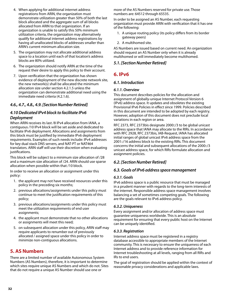- 4. When applying for additional internet address registrations from ARIN, the organization must demonstrate utilization greater than 50% of both the last block allocated and the aggregate sum of all blocks allocated from ARIN to that organization. If an organization is unable to satisfy this 50% minimum utilization criteria, the organization may alternatively qualify for additional internet address registrations by having all unallocated blocks of addresses smaller than ARIN's current minimum allocation size.
- 5. The organization may not allocate additional address space to a location until each of that location's address blocks are 80% utilized.
- 6. The organization should notify ARIN at the time of the request their desire to apply this policy to their account.
- 7. Upon verification that the organization has shown evidence of deployment of the new discrete network site, the new network(s) shall be allocated the minimum allocation size under section 4.2.1.5 unless the organization can demonstrate additional need using the immediate need criteria (4.2.1.6).

# *4.6., 4.7., 4.8., 4.9. [Section Number Retired]*

# *4.10 Dedicated IPv4 block to facilitate IPv6 Deployment*

When ARIN receives its last /8 IPv4 allocation from IANA, a contiguous /10 IPv4 block will be set aside and dedicated to facilitate IPv6 deployment. Allocations and assignments from this block must be justified by immediate IPv6 deployment requirements. Examples of such needs include: IPv4 addresses for key dual stack DNS servers, and NAT-PT or NAT464 translators. ARIN staff will use their discretion when evaluating justifications.

This block will be subject to a minimum size allocation of /28 and a maximum size allocation of /24. ARIN should use sparse allocation when possible within that /10 block.

In order to receive an allocation or assignment under this policy:

- 1. the applicant may not have received resources under this policy in the preceding six months;
- 2. previous allocations/assignments under this policy must continue to meet the justification requirements of this policy;
- 3. previous allocations/assignments under this policy must meet the utilization requirements of end user assignments;
- 4. the applicant must demonstrate that no other allocations or assignments will meet this need;
- 5. on subsequent allocation under this policy, ARIN staff may require applicants to renumber out of previously allocated / assigned space under this policy in order to minimize non-contiguous allocations.

# **5. AS Numbers**

There are a limited number of available Autonomous System Numbers (AS Numbers), therefore, it is important to determine which sites require unique AS Numbers and which do not. Sites that do not require a unique AS Number should use one or

more of the AS Numbers reserved for private use. Those numbers are: 64512 through 65535.

In order to be assigned an AS Number, each requesting organization must provide ARIN with verification that it has one of the following:

- 1. A unique routing policy (its policy differs from its border gateway peers)
- 2. A multihomed site.

AS Numbers are issued based on current need. An organization should request an AS Number only when it is already multihomed or will immediately become multihomed.

# *5.1. [Section Number Retired]*

# **6. IPv6**

# *6.1. Introduction*

## *6.1.1. Overview*

This document describes policies for the allocation and assignment of globally-unique Internet Protocol Version 6 (IPv6) address space. It updates and obsoletes the existing Provisional IPv6 Policies in effect since 1999. Policies described in this document are intended to be adopted by each registry. However, adoption of this document does not preclude local variations in each region or area.

RFC 2373, RFC 2373bis designate 2000::/3 to be global unicast address space that IANA may allocate to the RIRs. In accordance with RFC 2928, RFC 2373bis, IAB-Request, IANA has allocated initial ranges of global unicast IPv6 address space from the 2001::/16 address block to the existing RIRs. This document concerns the initial and subsequent allocations of the 2000::/3 unicast address space, for which RIRs formulate allocation and assignment policies.

# *6.2. [Section Number Retired]*

# *6.3. Goals of IPv6 address space management*

# *6.3.1. Goals*

IPv6 address space is a public resource that must be managed in a prudent manner with regards to the long-term interests of the internet. Responsible address space management involves balancing a set of sometimes competing goals. The following are the goals relevant to IPv6 address policy.

## *6.3.2. Uniqueness*

Every assignment and/or allocation of address space must guarantee uniqueness worldwide. This is an absolute requirement for ensuring that every public host on the Internet can be uniquely identified.

# *6.3.3. Registration*

Internet address space must be registered in a registry database accessible to appropriate members of the Internet community. This is necessary to ensure the uniqueness of each Internet address and to provide reference information for Internet troubleshooting at all levels, ranging from all RIRs and IRs to end users.

The goal of registration should be applied within the context of reasonable privacy considerations and applicable laws.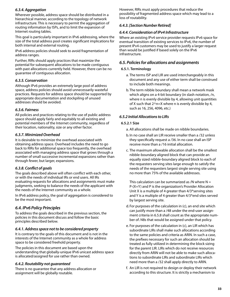# *6.3.4. Aggregation*

Wherever possible, address space should be distributed in a hierarchical manner, according to the topology of network infrastructure. This is necessary to permit the aggregation of routing information by ISPs, and to limit the expansion of Internet routing tables.

This goal is particularly important in IPv6 addressing, where the size of the total address pool creates significant implications for both internal and external routing.

IPv6 address policies should seek to avoid fragmentation of address ranges.

Further, RIRs should apply practices that maximize the potential for subsequent allocations to be made contiguous with past allocations currently held. However, there can be no guarantee of contiguous allocation.

#### *6.3.5. Conservation*

Although IPv6 provides an extremely large pool of address space, address policies should avoid unnecessarily wasteful practices. Requests for address space should be supported by appropriate documentation and stockpiling of unused addresses should be avoided.

#### *6.3.6. Fairness*

All policies and practices relating to the use of public address space should apply fairly and equitably to all existing and potential members of the Internet community, regardless of their location, nationality, size or any other factor.

#### *6.3.7. Minimized Overhead*

It is desirable to minimize the overhead associated with obtaining address space. Overhead includes the need to go back to RIRs for additional space too frequently, the overhead associated with managing address space that grows through a number of small successive incremental expansions rather than through fewer, but larger, expansions.

## *6.3.8. Conflict of goals*

The goals described above will often conflict with each other, or with the needs of individual IRs or end users. All IRs evaluating requests for allocations and assignments must make judgments, seeking to balance the needs of the applicant with the needs of the Internet community as a whole.

In IPv6 address policy, the goal of aggregation is considered to be the most important.

# *6.4. IPv6 Policy Principles*

To address the goals described in the previous section, the policies in this document discuss and follow the basic principles described below.

#### *6.4.1. Address space not to be considered property*

It is contrary to the goals of this document and is not in the interests of the Internet community as a whole for address space to be considered freehold property.

The policies in this document are based upon the understanding that globally-unique IPv6 unicast address space is allocated/assigned for use rather than owned.

#### *6.4.2. Routability not guaranteed*

There is no guarantee that any address allocation or assignment will be globally routable.

However, RIRs must apply procedures that reduce the possibility of fragmented address space which may lead to a loss of routability.

#### *6.4.3. [Section Number Retired]*

#### *6.4.4. Consideration of IPv4 Infrastructure*

Where an existing IPv4 service provider requests IPv6 space for eventual transition of existing services to IPv6, the number of present IPv4 customers may be used to justify a larger request than would be justified if based solely on the IPv6 infrastructure.

#### *6.5. Policies for allocations and assignments*

#### **6.5.1. Terminology**

- a. The terms ISP and LIR are used interchangeably in this document and any use of either term shall be construed to include both meanings.
- b. The term nibble boundary shall mean a network mask which aligns on a 4-bit boundary (in slash notation, /n, where n is evenly divisible by 4, allowing unit quantities of X such that  $2^n = X$  where n is evenly divisible by 4, such as 16, 256, 4096, etc.)

#### *6.5.2 Initial Allocations to LIRs*

#### **6.5.2.1 Size**

- a. All allocations shall be made on nibble boundaries.
- b. In no case shall an LIR receive smaller than a /32 unless they specifically request a /36. In no case shall an ISP receive more than a /16 initial allocation.
- c. The maximum allowable allocation shall be the smallest nibble-boundary aligned block that can provide an equally sized nibble-boundary aligned block to each of the requesters serving sites large enough to satisfy the needs of the requesters largest single serving site using no more than 75% of the available addresses.

This calculation can be summarized as /N where  $N =$ P-(X+Y) and P is the organization's Provider Allocation Unit X is a multiple of 4 greater than 4/3\*serving sites and Y is a multiple of 4 greater than 4/3\*end sites served by largest serving site.

- d. For purposes of the calculation in (c), an end site which can justify more than a /48 under the end-user assignment criteria in 6.5.8 shall count as the appropriate number of /48s that would be assigned under that policy.
- e. For purposes of the calculation in (c), an LIR which has subordinate LIRs shall make such allocations according to the same policies and criteria as ARIN. In such a case, the prefixes necessary for such an allocation should be treated as fully utilized in determining the block sizing for the parent LIR. LIRs which do not receive resources directly from ARIN will not be able to make such allocations to subordinate LIRs and subordinate LIRs which need more than a /32 shall apply directly to ARIN.
- f. An LIR is not required to design or deploy their network according to this structure. It is strictly a mechanism to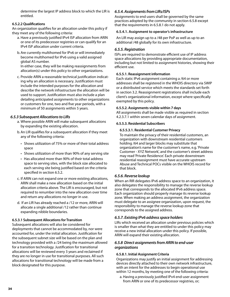determine the largest IP address block to which the LIR is entitled.

## **6.5.2.2 Qualifications**

An organization qualifies for an allocation under this policy if they meet any of the following criteria:

- a. Have a previously justified IPv4 ISP allocation from ARIN or one of its predecessor registries or can qualify for an IPv4 ISP allocation under current criteria.
- b.Are currently multihomed for IPv6 or will immediately become multihomed for IPv6 using a valid assigned global AS number.

In either case, they will be making reassignments from allocation(s) under this policy to other organizations.

c. Provide ARIN a reasonable technical justification indicating why an allocation is necessary. Justification must include the intended purposes for the allocation and describe the network infrastructure the allocation will be used to support. Justification must also include a plan detailing anticipated assignments to other organizations or customers for one, two and five year periods, with a minimum of 50 assignments within 5 years.

# *6.5.3 Subsequent Allocations to LIRs*

- a. Where possible ARIN will make subsequent allocations by expanding the existing allocation.
- b.An LIR qualifies for a subsequent allocation if they meet any of the following criteria:
	- Shows utilization of 75% or more of their total address space
	- Shows utilization of more than 90% of any serving site
	- Has allocated more than 90% of their total address space to serving sites, with the block size allocated to each serving site being justified based on the criteria specified in section 6.5.2.
- c. If ARIN can not expand one or more existing allocations, ARIN shall make a new allocation based on the initial allocation criteria above. The LIR is encouraged, but not required to renumber into the new allocation over time and return any allocations no longer in use.
- d. If an LIR has already reached a /12 or more, ARIN will allocate a single additional /12 rather than continue expanding nibble boundaries.

## **6.5.3.1 Subsequent Allocations for Transition**

Subsequent allocations will also be considered for deployments that cannot be accommodated by, nor were accounted for, under the initial allocation. Justification for the subsequent subnet size will be based on the plan and technology provided with a /24 being the maximum allowed for a transition technology. Justification for transitional allocations will be reviewed every 3 years and reclaimed if they are no longer in use for transitional purposes. All such allocations for transitional technology will be made from a block designated for this purpose.

# *6.5.4. Assignments from LIRs/ISPs*

Assignments to end users shall be governed by the same practices adopted by the community in section 6.5.8 except that the requirements in 6.5.8.1 do not apply.

#### **6.5.4.1. Assignment to operator's infrastructure**

An LIR may assign up to a /48 per PoP as well as up to an additional /48 globally for its own infrastructure.

## *6.5.5. Registration*

ISPs are required to demonstrate efficient use of IP address space allocations by providing appropriate documentation, including but not limited to assignment histories, showing their efficient use.

## **6.5.5.1. Reassignment information**

Each static IPv6 assignment containing a /64 or more addresses shall be registered in the WHOIS directory via SWIP or a distributed service which meets the standards set forth in section 3.2. Reassignment registrations shall include each client's organizational information, except where specifically exempted by this policy.

## **6.5.5.2. Assignments visible within 7 days**

All assignments shall be made visible as required in section 4.2.3.7.1 within seven calendar days of assignment.

#### **6.5.5.3. Residential Subscribers**

#### **6.5.5.3.1. Residential Customer Privacy**

To maintain the privacy of their residential customers, an organization with downstream residential customers holding /64 and larger blocks may substitute that organization's name for the customer's name, e.g. 'Private Customer - XYZ Network', and the customer's street address may read 'Private Residence'. Each private downstream residential reassignment must have accurate upstream Abuse and Technical POCs visible on the WHOIS record for that block.

## *6.5.6. Reverse lookup*

When an RIR delegates IPv6 address space to an organization, it also delegates the responsibility to manage the reverse lookup zone that corresponds to the allocated IPv6 address space. Each organization should properly manage its reverse lookup zone. When making an address assignment, the organization must delegate to an assignee organization, upon request, the responsibility to manage the reverse lookup zone that corresponds to the assigned address.

## *6.5.7. Existing IPv6 address space holders*

LIRs which received an allocation under previous policies which is smaller than what they are entitled to under this policy may receive a new initial allocation under this policy. If possible, ARIN will expand their existing allocation.

# *6.5.8 Direct assignments from ARIN to end-user organizations*

## **6.5.8.1. Initial Assignment Criteria**

Organizations may justify an initial assignment for addressing devices directly attached to their own network infrastructure, with an intent for the addresses to begin operational use within 12 months, by meeting one of the following criteria:

a. Having a previously justified IPv4 end-user assignment from ARIN or one of its predecessor registries, or;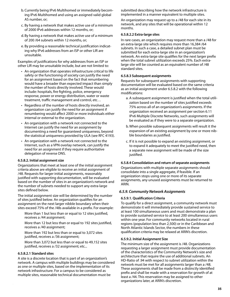- b. Currently being IPv6 Multihomed or immediately becoming IPv6 Multihomed and using an assigned valid global AS number, or;
- c. By having a network that makes active use of a minimum of 2000 IPv6 addresses within 12 months, or;
- d. By having a network that makes active use of a minimum of 200 /64 subnets within 12 months, or;
- e. By providing a reasonable technical justification indicating why IPv6 addresses from an ISP or other LIR are unsuitable.

Examples of justifications for why addresses from an ISP or other LIR may be unsuitable include, but are not limited to:

- An organization that operates infrastructure critical to life safety or the functioning of society can justify the need for an assignment based on the fact that renumbering would have a broader than expected impact than simply the number of hosts directly involved. These would include: hospitals, fire fighting, police, emergency response, power or energy distribution, water or waste treatment, traffic management and control, etc…
- Regardless of the number of hosts directly involved, an organization can justify the need for an assignment if renumbering would affect 2000 or more individuals either internal or external to the organization.
- An organization with a network not connected to the Internet can justify the need for an assignment by documenting a need for guaranteed uniqueness, beyond the statistical uniqueness provided by ULA (see RFC 4193).
- An organization with a network not connected to the Internet, such as a VPN overlay network, can justify the need for an assignment if they require authoritative delegation of reverse DNS.

#### **6.5.8.2. Initial assignment size**

Organizations that meet at least one of the initial assignment criteria above are eligible to receive an initial assignment of /48. Requests for larger initial assignments, reasonably justified with supporting documentation, will be evaluated based on the number of sites in an organization's network and the number of subnets needed to support any extra-large sites defined below.

The initial assignment size will be determined by the number of sites justified below. An organization qualifies for an assignment on the next larger nibble boundary when their sites exceed 75% of the /48s available in a prefix. For example:

More than 1 but less than or equal to 12 sites justified, receives a /44 assignment;

More than 12 but less than or equal to 192 sites justified, receives a /40 assignment;

More than 192 but less than or equal to 3,072 sites justified, receives a /36 assignment;

More than 3,072 but less than or equal to 49,152 sites justified, receives a /32 assignment; etc...

#### **6.5.8.2.1 Standard sites**

A site is a discrete location that is part of an organization's network. A campus with multiple buildings may be considered as one or multiple sites, based on the implementation of its network infrastructure. For a campus to be considered as multiple sites, reasonable technical documentation must be

submitted describing how the network infrastructure is implemented in a manner equivalent to multiple sites.

An organization may request up to a /48 for each site in its network, and any sites that will be operational within 12 months.

#### **6.5.8.2.2 Extra-large sites**

In rare cases, an organization may request more than a /48 for an extra-large site which requires more than 16,384 /64 subnets. In such a case, a detailed subnet plan must be submitted for each extra-large site in an organization's network. An extra-large site qualifies for the next larger prefix when the total subnet utilization exceeds 25%. Each extralarge site will be counted as an equivalent number of /48 standard sites.

#### **6.5.8.3 Subsequent assignments**

Requests for subsequent assignments with supporting documentation will be evaluated based on the same criteria as an initial assignment under 6.5.8.2 with the following modifications:

- a. A subsequent assignment is justified when the total utilization based on the number of sites justified exceeds 75% across all of an organization's assignments. If the organization received an assignment per section 6.11 IPv6 Multiple Discrete Networks, such assignments will be evaluated as if they were to a separate organization.
- b. When possible subsequent assignments will result it the expansion of an existing assignment by one or more nibble boundaries as justified.
- c. If it is not possible to expand an existing assignment, or to expand it adequately to meet the justified need, then a separate new assignment will be made of the size justified.

#### **6.5.8.4 Consolidation and return of separate assignments**

Organizations with multiple separate assignments should consolidate into a single aggregate, if feasible. If an organization stops using one or more of its separate assignments, any unused assignments must be returned to ARIN.

#### *6.5.9. Community Network Assignments*

#### **6.5.9.1. Qualification Criteria**

To qualify for a direct assignment, a community network must demonstrate it will immediately provide sustained service to at least 100 simultaneous users and must demonstrate a plan to provide sustained service to at least 200 simultaneous users within one year. For community networks located in rural regions (population less than 2,500) or in the Caribbean and North Atlantic Islands Sector, the numbers in these qualification criteria may be relaxed at ARIN's discretion.

#### **6.5.9.2. Initial Assignment Size**

The minimum size of the assignment is /48. Organizations requesting a larger assignment must provide documentation of the characteristics of the Community Network's size and architecture that require the use of additional subnets. An HD-Ratio of .94 with respect to subnet utilization within the network must be met for all assignments larger than a /48. These assignments shall be made from a distinctly identified prefix and shall be made with a reservation for growth of at least a /44. This reservation may be assigned to other organizations later, at ARIN's discretion.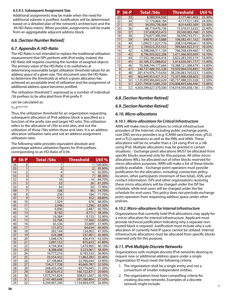#### **6.5.9.3. Subsequent Assignment Size**

Additional assignments may be made when the need for additional subnets is justified. Justification will be determined based on a detailed plan of the network's architecture and the .94 HD-Ratio metric. When possible, assignments will be made from an aggregatable adjacent address block.

# *6.6. [Section Number Retired]*

# *6.7. Appendix A: HD-Ratio*

The HD-Ratio is not intended to replace the traditional utilization measurement that ISPs perform with IPv4 today. Indeed, the HD-Ratio still requires counting the number of assigned objects. The primary value of the HD-Ratio is its usefulness at determining reasonable target utilization threshold values for an address space of a given size. This document uses the HD-Ratio to determine the thresholds at which a given allocation has achieved an acceptable level of utilization and the assignment of additional address space becomes justified.

The utilization threshold T, expressed as a number of individual /56 prefixes to be allocated from IPv6 prefix P,

can be calculated as:

 $T=2^{((56-P)*HD)}$ 

Thus, the utilization threshold for an organization requesting subsequent allocation of IPv6 address block is specified as a function of the prefix size and target HD ratio. This utilization refers to the allocation of /56s to end sites, and not the utilization of those /56s within those end sites. It is an address allocation utilization ratio and not an address assignment utilization ratio.

The following table provides equivalent absolute and percentage address utilization figures for IPv6 prefixes, corresponding to an HD-Ratio of 0.94.

| P               | 56-P                    | <b>Total /56s</b> | <b>Threshold</b> | Util %  |
|-----------------|-------------------------|-------------------|------------------|---------|
| 56              | 0                       | 1                 | 1                | 100.00% |
| 55              | $\mathbf{1}$            | $\overline{2}$    | $\overline{2}$   | 95.90%  |
| 54              | $\overline{\mathbf{c}}$ | 4                 | 4                | 92.00%  |
| 53              | $\overline{\mathbf{3}}$ | 8                 | $\overline{7}$   | 88.30%  |
| 52              | 4                       | 16                | 14               | 84.70%  |
| 51              | $\overline{5}$          | 32                | 26               | 81.20%  |
| 50              | 6                       | 64                | 50               | 77.90%  |
| 49              | $\overline{7}$          | 128               | 96               | 74.70%  |
| 48              | 8                       | 256               | 184              | 71.70%  |
| 47              | $\overline{9}$          | 512               | 352              | 68.80%  |
| 46              | 10                      | 1,024             | 676              | 66.00%  |
| 45              | 11                      | 2,048             | 1,296            | 63.30%  |
| 44              | 12                      | 4,096             | 2,487            | 60.70%  |
| 43              | 13                      | 8,192             | 4,771            | 58.20%  |
| 42              | 14                      | 16,384            | 9,153            | 55.90%  |
| 41              | 15                      | 32,768            | 17,560           | 53.60%  |
| 40              | 16                      | 65,536            | 33,689           | 51.40%  |
| 39              | 17                      | 131,072           | 64,634           | 49.30%  |
| 38              | 18                      | 262,144           | 124,002          | 47.30%  |
| 37              | 19                      | 524,288           | 237,901          | 45.40%  |
| 36              | 20                      | 1,048,576         | 456,419          | 43.50%  |
| 35              | 21                      | 2,097,152         | 875,653          | 41.80%  |
| 34              | 22                      | 4,194,304         | 1,679,965        | 40.10%  |
| 33              | 23                      | 8,388,608         | 3,223,061        | 38.40%  |
| 32              | 24                      | 16,777,216        | 6,183,533        | 36.90%  |
| 31              | 25                      | 33,554,432        | 11,863,283       | 35.40%  |
| 30              | 26                      | 67,108,864        | 22,760,044       | 33.90%  |
| 29              | 27                      | 134,217,728       | 43,665,787       | 32.50%  |
| 28              | 28                      | 268,435,456       | 83,774,045       | 31.20%  |
| 27              | 29                      | 536,870,912       | 160,722,871      | 29.90%  |
| 26              | 30                      | 1,073,741,824     | 308,351,367      | 28.70%  |
| 25              | 31                      | 2,147,483,648     | 591,580,804      | 27.50%  |
| $\overline{24}$ | 32                      | 4,294,967,296     | 1,134,964,479    | 26.40%  |

| Ρ  | 56-P | <b>Total /56s</b>     | <b>Threshold</b>    | Util % |
|----|------|-----------------------|---------------------|--------|
| 23 | 33   | 8,589,934,592         | 2,177,461,403       | 25.30% |
| 22 | 34   | 17,179,869,184        | 4,177,521,189       | 24.30% |
| 21 | 35   | 34,359,738,368        | 8,014,692,369       | 23.30% |
| 20 | 36   | 68.719.476.736        | 15.376.413.635      | 22.40% |
| 19 | 37   | 137,438,953,472       | 29,500,083,768      | 21.50% |
| 18 | 38   | 274,877,906,944       | 56,596,743,751      | 20.60% |
| 17 | 39   | 549,755,813,888       | 108,582,451,102     | 19.80% |
| 16 | 40   | 1,099,511,627,776     | 208,318,498,661     | 18.90% |
| 15 | 41   | 2,199,023,255,552     | 399,664,922,315     | 18.20% |
| 14 | 42   | 4,398,046,511,104     | 766,768,439,460     | 17.40% |
| 13 | 43   | 8,796,093,022,208     | 1,471,066,903,609   | 16.70% |
| 12 | 44   | 17,592,186,044,416    | 2,822,283,395,519   | 16.00% |
| 11 | 45   | 35,184,372,088,832    | 5,414,630,391,777   | 15.40% |
| 10 | 46   | 70,368,744,177,664    | 10,388,121,308,479  | 14.80% |
| 9  | 47   | 140.737.488.355.328   | 19.929.904.076.845  | 14.20% |
| 8  | 48   | 281,474,976,710,656   | 38,236,083,765,023  | 13.60% |
| 7  | 49   | 562,949,953,421,312   | 73,357,006,438,603  | 13.00% |
| 6  | 50   | 1,125,899,906,842,620 | 140,737,488,355,328 | 12.50% |
| 5  | 51   | 2,251,799,813,685,250 | 270,008,845,646,446 | 12.00% |
| 4  | 52   | 4,503,599,627,370,500 | 518,019,595,058,136 | 11.50% |

# *6.8. [Section Number Retired]*

# *6.9. [Section Number Retired]*

# *6.10. Micro-allocations*

## *6.10.1. Micro-allocations for Critical Infrastructure*

ARIN will make micro-allocations to critical infrastructure providers of the Internet, including public exchange points, core DNS service providers (e.g. ICANN-sanctioned root, gTLD, and ccTLD operators) as well as the RIRs and IANA. These allocations will be no smaller than a /24 using IPv4 or a /48 using IPv6. Multiple allocations may be granted in certain situations. - Exchange point allocations MUST be allocated from specific blocks reserved only for this purpose. All other microallocations WILL be allocated out of other blocks reserved for micro-allocation purposes. ARIN will make a list of these blocks publicly available. - Exchange point operators must provide justification for the allocation, including: connection policy, location, other participants (minimum of two total), ASN, and contact information. ISPs and other organizations receiving these micro-allocations will be charged under the ISP fee schedule, while end-users will be charged under the fee schedule for end-users. This policy does not preclude exchange point operators from requesting address space under other policies.

## *6.10.2. Micro-allocations for Internal Infrastructure*

Organizations that currently hold IPv6 allocations may apply for a micro-allocation for internal infrastructure. Applicant must provide technical justification indicating why a separate nonrouted block is required. Justification must include why a suballocation of currently held IP space cannot be utilized. Internal infrastructure allocations must be allocated from specific blocks reserved only for this purpose.

# *6.11. IPv6 Multiple Discrete Networks*

Organizations with multiple discrete IPv6 networks desiring to request new or additional address space under a single Organization ID must meet the following criteria:

- 1. The organization shall be a single entity and not a consortium of smaller independent entities.
- 2. The organization must have compelling criteria for creating discrete networks. Examples of a discrete network might include: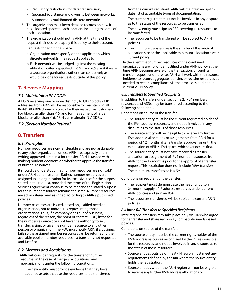- Regulatory restrictions for data transmission,
- Geographic distance and diversity between networks,
- Autonomous multihomed discrete networks.
- 3. The organization must keep detailed records on how it has allocated space to each location, including the date of each allocation.
- 4. The organization should notify ARIN at the time of the request their desire to apply this policy to their account.
- 5. Requests for additional space:
	- a. Organization must specify on the application which discrete network(s) the request applies to
	- b. Each network will be judged against the existing utilization criteria specified in 6.5.2 and 6.5.3 as if it were a separate organization, rather than collectively as would be done for requests outside of this policy.

# **7. Reverse Mapping**

# *7.1. Maintaining IN-ADDRs*

All ISPs receiving one or more distinct /16 CIDR blocks of IP addresses from ARIN will be responsible for maintaining all IN-ADDR.ARPA domain records for their respective customers. For blocks smaller than /16, and for the segment of larger blocks smaller than /16, ARIN can maintain IN-ADDRs.

## *7.2. [Section Number Retired]*

# **8. Transfers**

## *8.1. Principles*

Number resources are nontransferable and are not assignable to any other organization unless ARIN has expressly and in writing approved a request for transfer. ARIN is tasked with making prudent decisions on whether to approve the transfer of number resources.

It should be understood that number resources are not 'sold' under ARIN administration. Rather, number resources are assigned to an organization for its exclusive use for the purpose stated in the request, provided the terms of the Registration Services Agreement continue to be met and the stated purpose for the number resources remains the same. Number resources are administered and assigned according to ARIN's published policies.

Number resources are issued, based on justified need, to organizations, not to individuals representing those organizations. Thus, if a company goes out of business, regardless of the reason, the point of contact (POC) listed for the number resource does not have the authority to sell, transfer, assign, or give the number resource to any other person or organization. The POC must notify ARIN if a business fails so the assigned number resources can be returned to the available pool of number resources if a transfer is not requested and justified.

# *8.2. Mergers and Acquisitions*

ARIN will consider requests for the transfer of number resources in the case of mergers, acquisitions, and reorganizations under the following conditions:

• The new entity must provide evidence that they have acquired assets that use the resources to be transferred from the current registrant. ARIN will maintain an up-todate list of acceptable types of documentation.

- The current registrant must not be involved in any dispute as to the status of the resources to be transferred.
- The new entity must sign an RSA covering all resources to be transferred.
- The resources to be transferred will be subject to ARIN policies.
- The minimum transfer size is the smaller of the original allocation size or the applicable minimum allocation size in current policy.

In the event that number resources of the combined organizations are no longer justified under ARIN policy at the time ARIN becomes aware of the transaction, through a transfer request or otherwise, ARIN will work with the resource holder(s) to return, aggregate, transfer, or reclaim resources as needed to restore compliance via the processes outlined in current ARIN policy.

## *8.3. Transfers to Specified Recipients*

In addition to transfers under section 8.2, IPv4 numbers resources and ASNs may be transferred according to the following conditions.

Conditions on source of the transfer:

- The source entity must be the current registered holder of the IPv4 address resources, and not be involved in any dispute as to the status of those resources.
- The source entity will be ineligible to receive any further IPv4 address allocations or assignments from ARIN for a period of 12 months after a transfer approval, or until the exhaustion of ARIN's IPv4 space, whichever occurs first.
- The source entity must not have received a transfer, allocation, or assignment of IPv4 number resources from ARIN for the 12 months prior to the approval of a transfer request. This restriction does not include M&A transfers.
- The minimum transfer size is a /24

Conditions on recipient of the transfer:

- The recipient must demonstrate the need for up to a 24-month supply of IP address resources under current ARIN policies and sign an RSA.
- The resources transferred will be subject to current ARIN policies.

#### *8.4 Inter-RIR Transfers to Specified Recipients*

Inter-regional transfers may take place only via RIRs who agree to the transfer and share reciprocal, compatible, needs-based policies.

Conditions on source of the transfer:

- The source entity must be the current rights holder of the IPv4 address resources recognized by the RIR responsible for the resources, and not be involved in any dispute as to the status of those resources.
- Source entities outside of the ARIN region must meet any requirements defined by the RIR where the source entity holds the registration.
- Source entities within the ARIN region will not be eligible to receive any further IPv4 address allocations or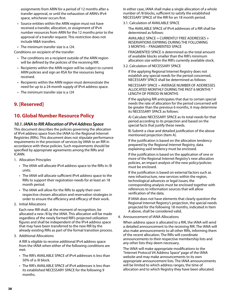assignments from ARIN for a period of 12 months after a transfer approval, or until the exhaustion of ARIN's IPv4 space, whichever occurs first.

- Source entities within the ARIN region must not have received a transfer, allocation, or assignment of IPv4 number resources from ARIN for the 12 months prior to the approval of a transfer request. This restriction does not include M&A transfers.
- The minimum transfer size is a /24.

Conditions on recipient of the transfer:

- The conditions on a recipient outside of the ARIN region will be defined by the policies of the receiving RIR.
- Recipients within the ARIN region will be subject to current ARIN policies and sign an RSA for the resources being received.
- Recipients within the ARIN region must demonstrate the need for up to a 24-month supply of IPv4 address space.
- The minimum transfer size is a /24

# **9. [Reserved]**

# **10. Global Number Resource Policy**

# *10.1. IANA to RIR Allocation of IPv4 Address Space*

This document describes the policies governing the allocation of IPv4 address space from the IANA to the Regional Internet Registries (RIRs). This document does not stipulate performance requirements in the provision of services by IANA to an RIR in accordance with these policies. Such requirements should be specified by appropriate agreements among the RIRs and ICANN.

- 1. Allocation Principles
	- The IANA will allocate IPv4 address space to the RIRs in /8 units.
	- The IANA will allocate sufficient IPv4 address space to the RIRs to support their registration needs for at least an 18 month period.
	- The IANA will allow for the RIRs to apply their own respective chosen allocation and reservation strategies in order to ensure the efficiency and efficacy of their work.
- 2. Initial Allocations

Each new RIR shall, at the moment of recognition, be allocated a new /8 by the IANA. This allocation will be made regardless of the newly formed RIR's projected utilization figures and shall be independent of the IPv4 address space that may have been transferred to the new RIR by the already existing RIRs as part of the formal transition process.

3. Additional Allocations

A RIR is eligible to receive additional IPv4 address space from the IANA when either of the following conditions are met.

- The RIR's AVAILABLE SPACE of IPv4 addresses is less than 50% of a /8 block.
- The RIR's AVAILABLE SPACE of IPv4 addresses is less than its established NECESSARY SPACE for the following 9 months.

In either case, IANA shall make a single allocation of a whole number of /8 blocks, sufficient to satisfy the established NECESSARY SPACE of the RIR for an 18 month period.

3.1. Calculation of AVAILABLE SPACE

The AVAILABLE SPACE of IPv4 addresses of a RIR shall be determined as follows:

AVAILABLE SPACE = CURRENTLY FREE ADDRESSES + RESERVATIONS EXPIRING DURING THE FOLLOWING 3 MONTHS – FRAGMENTED SPACE

FRAGMENTED SPACE is determined as the total amount of available blocks smaller than the RIR's minimum allocation size within the RIR's currently available stock.

3.2. Calculation of NECESSARY SPACE

If the applying Regional Internet Registry does not establish any special needs for the period concerned, NECESSARY SPACE shall be determined as follows:

NECESSARY SPACE = AVERAGE NUMBER OF ADDRESSES ALLOCATED MONTHLY DURING THE PAST 6 MONTHS \* LENGTH OF PERIOD IN MONTHS

If the applying RIR anticipates that due to certain special needs the rate of allocation for the period concerned will be greater than the previous 6 months, it may determine its NECESSARY SPACE as follows:

A) Calculate NECESSARY SPACE as its total needs for that period according to its projection and based on the special facts that justify these needs.

B) Submit a clear and detailed justification of the above mentioned projection (Item A).

If the justification is based on the allocation tendency prepared by the Regional Internet Registry, data explaining said tendency must be enclosed.

If the justification is based on the application of one or more of the Regional Internet Registry's new allocation policies, an impact analysis of the new policy/policies must be enclosed.

If the justification is based on external factors such as new infrastructure, new services within the region, technological advances or legal issues, the corresponding analysis must be enclosed together with references to information sources that will allow verification of the data.

If IANA does not have elements that clearly question the Regional Internet Registry's projection, the special needs projected for the following 18 months, indicated in Item A above, shall be considered valid.

4. Announcement of IANA Allocations

When address space is allocated to a RIR, the IANA will send a detailed announcement to the receiving RIR. The IANA will also make announcements to all other RIRs, informing them of the recent allocation. The RIRs will coordinate announcements to their respective membership lists and any other lists they deem necessary.

The IANA will make appropriate modifications to the "Internet Protocol V4 Address Space" page of the IANA website and may make announcements to its own appropriate announcement lists. The IANA announcements will be limited to which address ranges, the time of allocation and to which Registry they have been allocated.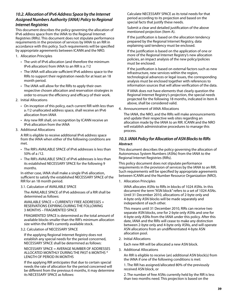# *10.2. Allocation of IPv6 Address Space by the Internet Assigned Numbers Authority (IANA) Policy to Regional Internet Registries*

This document describes the policy governing the allocation of IPv6 address space from the IANA to the Regional Internet Registries (RIRs). This document does not stipulate performance requirements in the provision of services by IANA to an RIR in accordance with this policy. Such requirements will be specified by appropriate agreements between ICANN and the NRO.

- 1. Allocation Principles
	- The unit of IPv6 allocation (and therefore the minimum IPv6 allocation) from IANA to an RIR is a /12
	- The IANA will allocate sufficient IPv6 address space to the RIRs to support their registration needs for at least an 18 month period.
	- The IANA will allow for the RIRs to apply their own respective chosen allocation and reservation strategies in order to ensure the efficiency and efficacy of their work.
- 2. Initial Allocations
	- On inception of this policy, each current RIR with less than a /12 unallocated address space, shall receive an IPv6 allocation from IANA
	- Any new RIR shall, on recognition by ICANN receive an IPv6 allocation from the IANA
- 3. Additional Allocations

A RIR is eligible to receive additional IPv6 address space from the IANA when either of the following conditions are met.

- The RIR's AVAILABLE SPACE of IPv6 addresses is less than 50% of a /12.
- The RIR's AVAILABLE SPACE of IPv6 addresses is less than its established NECESSARY SPACE for the following 9 months.

In either case, IANA shall make a single IPv6 allocation, sufficient to satisfy the established NECESSARY SPACE of the RIR for an 18 month period.

## 3.1. Calculation of AVAILABLE SPACE

The AVAILABLE SPACE of IPv6 addresses of a RIR shall be determined as follows:

AVAILABLE SPACE = CURRENTLY FREE ADDRESSES + RESERVATIONS EXPIRING DURING THE FOLLOWING 3 MONTHS – FRAGMENTED SPACE

FRAGMENTED SPACE is determined as the total amount of available blocks smaller than the RIR's minimum allocation size within the RIR's currently available stock.

3.2. Calculation of NECESSARY SPACE

If the applying Regional Internet Registry does not establish any special needs for the period concerned, NECESSARY SPACE shall be determined as follows:

NECESSARY SPACE = AVERAGE NUMBER OF ADDRESSES ALLOCATED MONTHLY DURING THE PAST 6 MONTHS \* LENGTH OF PERIOD IN MONTHS

If the applying RIR anticipates that due to certain special needs the rate of allocation for the period concerned will be different from the previous 6 months, it may determine its NECESSARY SPACE as follows:

Calculate NECESSARY SPACE as its total needs for that period according to its projection and based on the special facts that justify these needs.

Submit a clear and detailed justification of the above mentioned projection (Item A).

If the justification is based on the allocation tendency prepared by the Regional Internet Registry, data explaining said tendency must be enclosed.

If the justification is based on the application of one or more of the Regional Internet Registry's new allocation policies, an impact analysis of the new policy/policies must be enclosed.

If the justification is based on external factors such as new infrastructure, new services within the region, technological advances or legal issues, the corresponding analysis must be enclosed together with references to information sources that will allow verification of the data.

If IANA does not have elements that clearly question the Regional Internet Registry's projection, the special needs projected for the following 18 months, indicated in Item A above, shall be considered valid.

4. Announcement of IANA Allocations

The IANA, the NRO, and the RIRs will make announcements and update their respective web sites regarding an allocation made by the IANA to an RIR. ICANN and the NRO will establish administrative procedures to manage this process.

# *10.3. IANA Policy for Allocation of ASN Blocks to RIRs* **Abstract**

This document describes the policy governing the allocation of Autonomous System Numbers (ASNs) from the IANA to the Regional Internet Registries (RIRs).

This policy document does not stipulate performance requirements in the provision of services by the IANA to an RIR. Such requirements will be specified by appropriate agreements between ICANN and the Number Resource Organization (NRO).

1. Allocation Principles

IANA allocates ASNs to RIRs in blocks of 1024 ASNs. In this document the term "ASN block" refers to a set of 1024 ASNs. Until 31 December 2010, allocations of 2-byte only and 4-byte only ASN blocks will be made separately and independent of each other.

This means until 31 December 2010, RIRs can receive two separate ASN blocks, one for 2-byte only ASNs and one for 4-byte only ASNs from the IANA under this policy. After this date, IANA and the RIRs will cease to make any distinction between 2-byte only and 4-byte only ASNs, and will operate ASN allocations from an undifferentiated 4-byte ASN allocation pool.

2. Initial Allocations

Each new RIR will be allocated a new ASN block.

3. Additional Allocations

An RIR is eligible to receive (an) additional ASN block(s) from the IANA if one of the following conditions is met:

1. The RIR has assigned/allocated 80% of the previously received ASN block, or

2. The number of free ASNs currently held by the RIR is less than two months need. This projection is based on the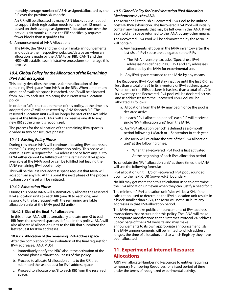monthly average number of ASNs assigned/allocated by the RIR over the previous six months.

An RIR will be allocated as many ASN blocks as are needed to support their registration needs for the next 12 months, based on their average assignment/allocation rate over the previous six months, unless the RIR specifically requests fewer blocks than it qualifies for.

4. Announcement of IANA Allocations

The IANA, the NRO and the RIRs will make announcements and update their respective websites/databases when an allocation is made by the IANA to an RIR. ICANN and the NRO will establish administrative procedures to manage this process.

# *10.4. Global Policy for the Allocation of the Remaining IPv4 Address Space*

This policy describes the process for the allocation of the remaining IPv4 space from IANA to the RIRs. When a minimum amount of available space is reached, one /8 will be allocated from IANA to each RIR, replacing the current IPv4 allocation policy.

In order to fulfill the requirements of this policy, at the time it is adopted, one /8 will be reserved by IANA for each RIR. The reserved allocation units will no longer be part of the available space at the IANA pool. IANA will also reserve one /8 to any new RIR at the time it is recognized.

The process for the allocation of the remaining IPv4 space is divided in two consecutive phases:

## *10.4.1. Existing Policy Phase*

During this phase IANA will continue allocating IPv4 addresses to the RIRs using the existing allocation policy. This phase will continue until a request for IPv4 address space from any RIR to IANA either cannot be fulfilled with the remaining IPv4 space available at the IANA pool or can be fulfilled but leaving the IANA remaining IPv4 pool empty.

This will be the last IPv4 address space request that IANA will accept from any RIR. At this point the next phase of the process (Exhaustion Phase) will be initiated.

## *10.4.2. Exhaustion Phase*

During this phase IANA will automatically allocate the reserved IPv4 allocation units to each RIR (one /8 to each one) and respond to the last request with the remaining available allocation units at the IANA pool (M units).

#### **10.4.2.1. Size of the final IPv4 allocations**

In this phase IANA will automatically allocate one /8 to each RIR from the reserved space as defined in this policy. IANA will also allocate M allocation units to the RIR that submitted the last request for IPv4 addresses.

#### **10.4.2.2. Allocation of the remaining IPv4 Address space**

After the completion of the evaluation of the final request for IPv4 addresses, IANA MUST:

- a. Immediately notify the NRO about the activation of the second phase (Exhaustion Phase) of this policy.
- b. Proceed to allocate M allocation units to the RIR that submitted the last request for IPv4 address space.
- c. Proceed to allocate one /8 to each RIR from the reserved space.

## *10.5. Global Policy for Post Exhaustion IPv4 Allocation Mechanisms by the IANA*

The IANA shall establish a Recovered IPv4 Pool to be utilized post RIR IPv4 exhaustion. The Recovered IPv4 Pool will initially contain any fragments that may be left over in the IANA. It will also hold any space returned to the IANA by any other means.

The Recovered IPv4 Pool will be administered by the IANA. It will contain:

- a. Any fragments left over in the IANA inventory after the last /8s of IPv4 space are delegated to the RIRs
	- The IANA inventory excludes "Special use IPv4 addresses" as defined in BCP 153 and any addresses allocated by the IANA for experimental use.
- b. Any IPv4 space returned to the IANA by any means.

The Recovered IPv4 Pool will stay inactive until the first RIR has less than a total of a /9 in its inventory of IPv4 address space. When one of the RIRs declares it has less than a total of a /9 in its inventory, the Recovered IPv4 pool will be declared active, and IP addresses from the Recovered IPv4 Pool will be allocated as follows:

- a. Allocations from the IANA may begin once the pool is declared active.
- b. In each "IPv4 allocation period", each RIR will receive a single "IPv4 allocation unit" from the IANA.
- c. An "IPv4 allocation period" is defined as a 6-month period following 1 March or 1 September in each year.
- d. The IANA will calculate the size of the "IPv4 allocation unit" at the following times:
	- When the Recovered IPv4 Pool is first activated
	- At the beginning of each IPv4 allocation period

To calculate the "IPv4 allocation unit" at these times, the IANA will use the following formula:

IPv4 allocation unit = 1/5 of Recovered IPv4 pool, rounded down to the next CIDR (power-of-2) boundary.

No RIR may get more than this calculation used to determine the IPv4 allocation unit even when they can justify a need for it.

The minimum "IPv4 allocation unit" size will be a /24. If the calculation used to determine the IPv4 allocation unit results in a block smaller than a /24, the IANA will not distribute any addresses in that IPv4 allocation period.

The IANA may make public announcements of IPv4 address transactions that occur under this policy. The IANA will make appropriate modifications to the "Internet Protocol V4 Address Space" page of the IANA website and may make announcements to its own appropriate announcement lists. The IANA announcements will be limited to which address ranges, the time of allocation, and to which Registry they have been allocated.

# **11. Experimental Internet Resource Allocations**

ARIN will allocate Numbering Resources to entities requiring temporary Numbering Resources for a fixed period of time under the terms of recognized experimental activity.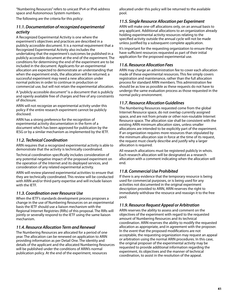"Numbering Resources" refers to unicast IPv4 or IPv6 address space and Autonomous System numbers.

The following are the criteria for this policy:

# *11.1. Documentation of recognized experimental activity*

A Recognized Experimental Activity is one where the experiment's objectives and practices are described in a publicly accessible document. It is a normal requirement that a Recognized Experimental Activity also includes the undertaking that the experiment's outcomes be published in a publicly accessible document at the end of the experiment. The conditions for determining the end of the experiment are to be included in the document. Applicants for an experimental allocation are expected to demonstrate an understanding that when the experiment ends, the allocation will be returned; a successful experiment may need a new allocation under normal policies in order to continue in production or commercial use, but will not retain the experimental allocation.

A "publicly accessible document" is a document that is publicly and openly available free of charges and free of any constraints of disclosure.

ARIN will not recognize an experimental activity under this policy if the entire research experiment cannot be publicly disclosed.

ARIN has a strong preference for the recognition of experimental activity documentation in the form of a document which has been approved for publication by the IESG or by a similar mechanism as implemented by the IETF.

# *11.2. Technical Coordination*

ARIN requires that a recognized experimental activity is able to demonstrate that the activity is technically coordinated.

Technical coordination specifically includes consideration of any potential negative impact of the proposed experiment on the operation of the Internet and its deployed services, and consideration of any related experimental activity.

ARIN will review planned experimental activities to ensure that they are technically coordinated. This review will be conducted with ARIN and/or third-party expertise and will include liaison with the IETF.

# *11.3. Coordination over Resource Use*

When the IETF's standards development process proposes a change in the use of Numbering Resources on an experimental basis the IETF should use a liaison mechanism with the Regional Internet Registries (RIRs) of this proposal. The RIRs will jointly or severally respond to the IETF using the same liaison mechanism.

# *11.4. Resource Allocation Term and Renewal*

The Numbering Resources are allocated for a period of one year. The allocation can be renewed on application to ARIN providing information as per Detail One. The identity and details of the applicant and the allocated Numbering Resources will be published under the conditions of ARIN's normal publication policy. At the end of the experiment, resources

allocated under this policy will be returned to the available pool.

# *11.5. Single Resource Allocation per Experiment*

ARIN will make one-off allocations only, on an annual basis to any applicant. Additional allocations to an organization already holding experimental activity resources relating to the specified activity outside the annual cycle will not be made unless justified by a subsequent complete application.

It's important for the requesting organization to ensure they have sufficient resources requested as part of their initial application for the proposed experimental use.

# *11.6. Resource Allocation Fees*

ARIN may charge an administration fee to cover each allocation made of these experimental resources. This fee simply covers registration and maintenance, rather than the full allocation process for standard ARIN members. This administration fee should be as low as possible as these requests do not have to undergo the same evaluation process as those requested in the normal policy environment.

# *11.7. Resource Allocation Guidelines*

The Numbering Resources requested come from the global Internet Resource space, do not overlap currently assigned space, and are not from private or other non-routable Internet Resource space. The allocation size shall be consistent with the existing ARIN minimum allocation sizes, unless smaller allocations are intended to be explicitly part of the experiment. If an organization requires more resources than stipulated by the minimum allocation size in force at the time of its request, the request must clearly describe and justify why a larger allocation is required.

All research allocations must be registered publicly in whois. Each research allocation will be designated as a research allocation with a comment indicating when the allocation will end.

# *11.8. Commercial Use Prohibited*

If there is any evidence that the temporary resource is being used for commercial purposes, or is being used for any activities not documented in the original experiment description provided to ARIN, ARIN reserves the right to immediately withdraw the resource and reassign it to the free pool.

# *11.9. Resource Request Appeal or Arbitration*

ARIN reserves the ability to assess and comment on the objectives of the experiment with regard to the requested amount of Numbering Resources and its technical coordination. ARIN reserves the ability to modify the requested allocation as appropriate, and in agreement with the proposer. In the event that the proposed modifications are not acceptable, the requesting organization may request an appeal or arbitration using the normal ARIN procedures. In this case, the original proposer of the experimental activity may be requested to provide additional information regarding the experiment, its objectives and the manner of technical coordination, to assist in the resolution of the appeal.